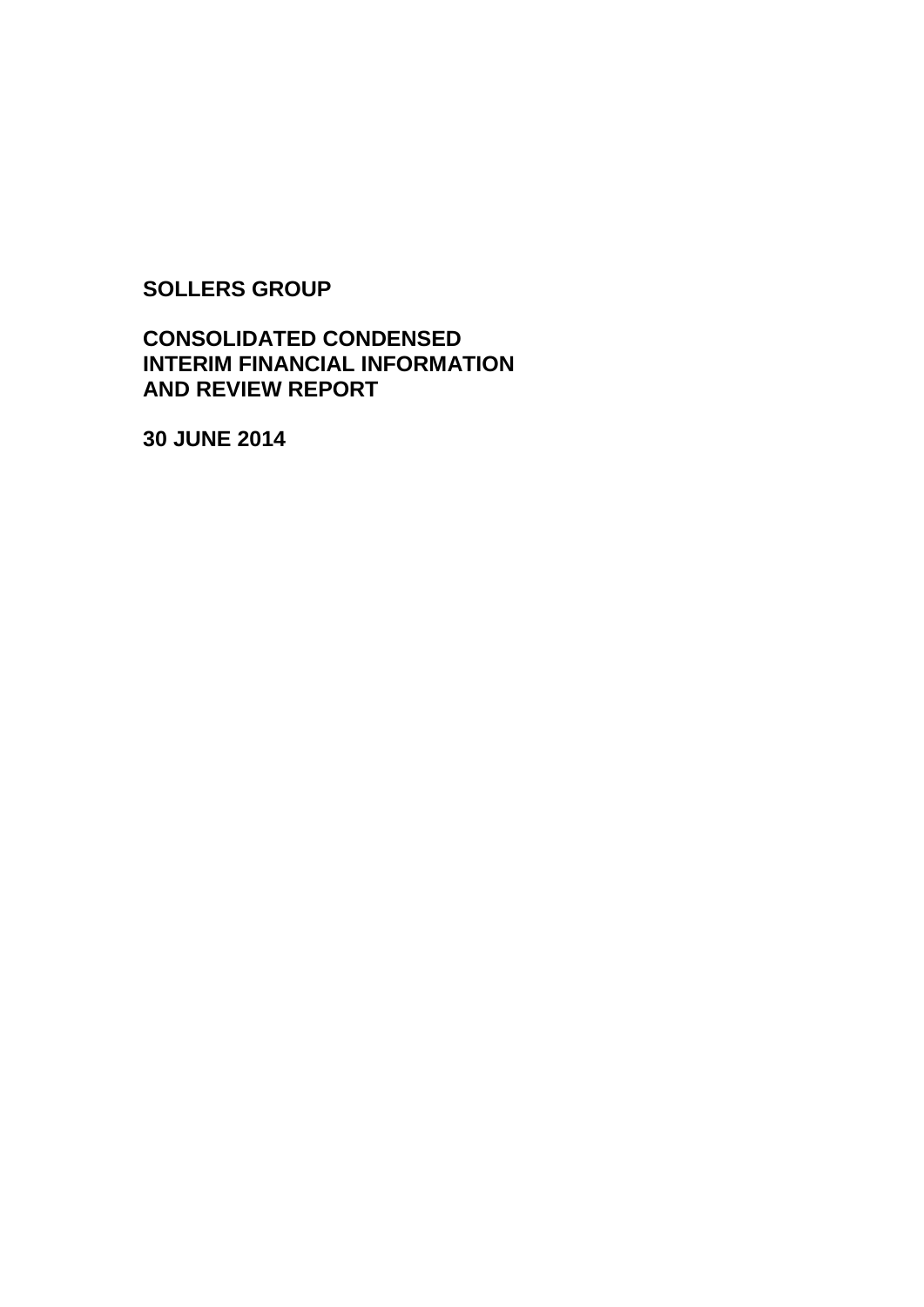**SOLLERS GROUP**

# **CONSOLIDATED CONDENSED INTERIM FINANCIAL INFORMATION AND REVIEW REPORT**

**30 JUNE 2014**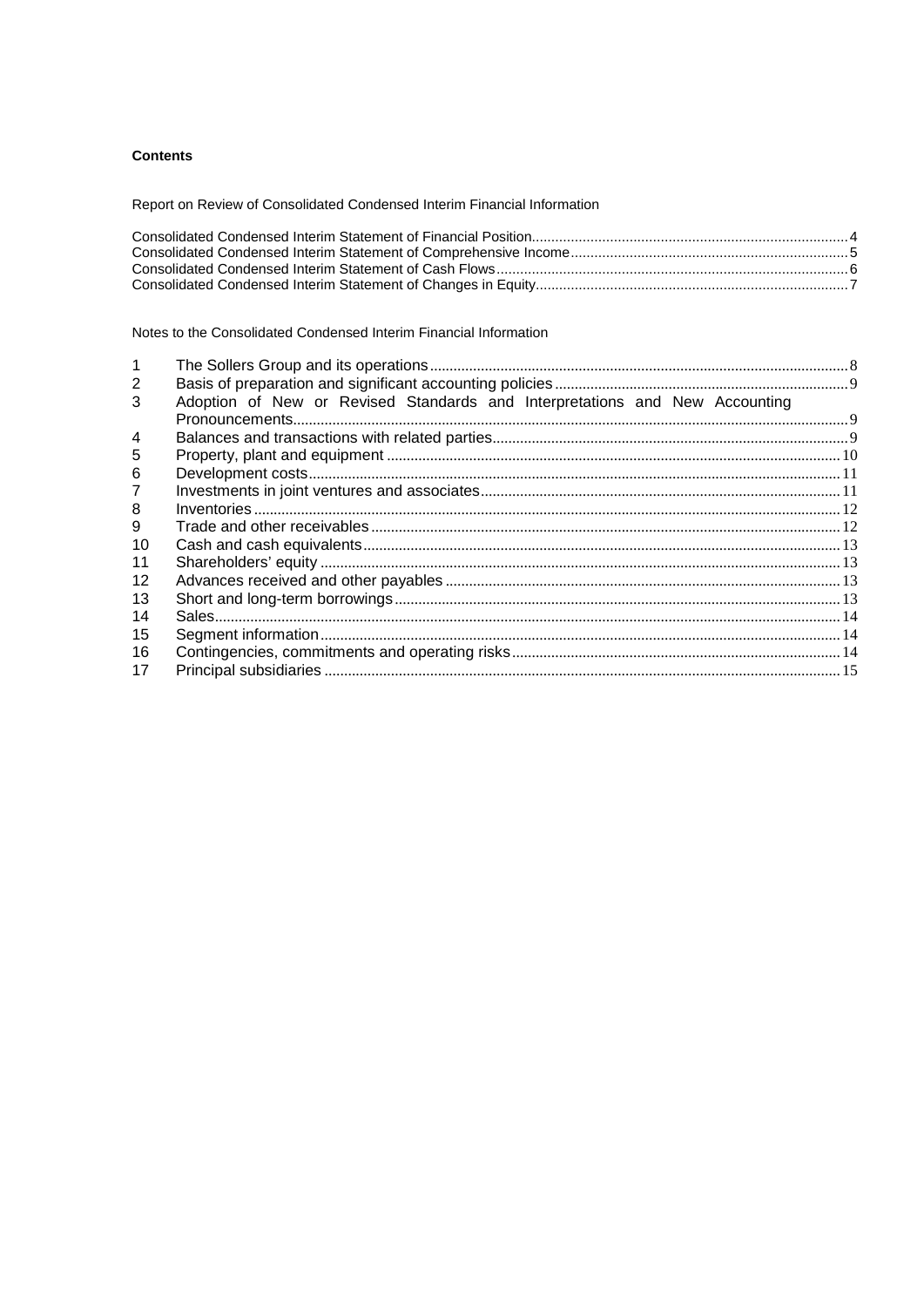# **Contents**

Report on Review of Consolidated Condensed Interim Financial Information

Notes to the Consolidated Condensed Interim Financial Information

| 2       |                                                                             |  |
|---------|-----------------------------------------------------------------------------|--|
| 3       | Adoption of New or Revised Standards and Interpretations and New Accounting |  |
|         |                                                                             |  |
| 4       |                                                                             |  |
| 5       |                                                                             |  |
| 6       |                                                                             |  |
|         |                                                                             |  |
| 8       |                                                                             |  |
| 9       |                                                                             |  |
| 10      |                                                                             |  |
| 11      |                                                                             |  |
| $12 \,$ |                                                                             |  |
| 13      |                                                                             |  |
| 14      |                                                                             |  |
| 15      |                                                                             |  |
| 16      |                                                                             |  |
| 17      |                                                                             |  |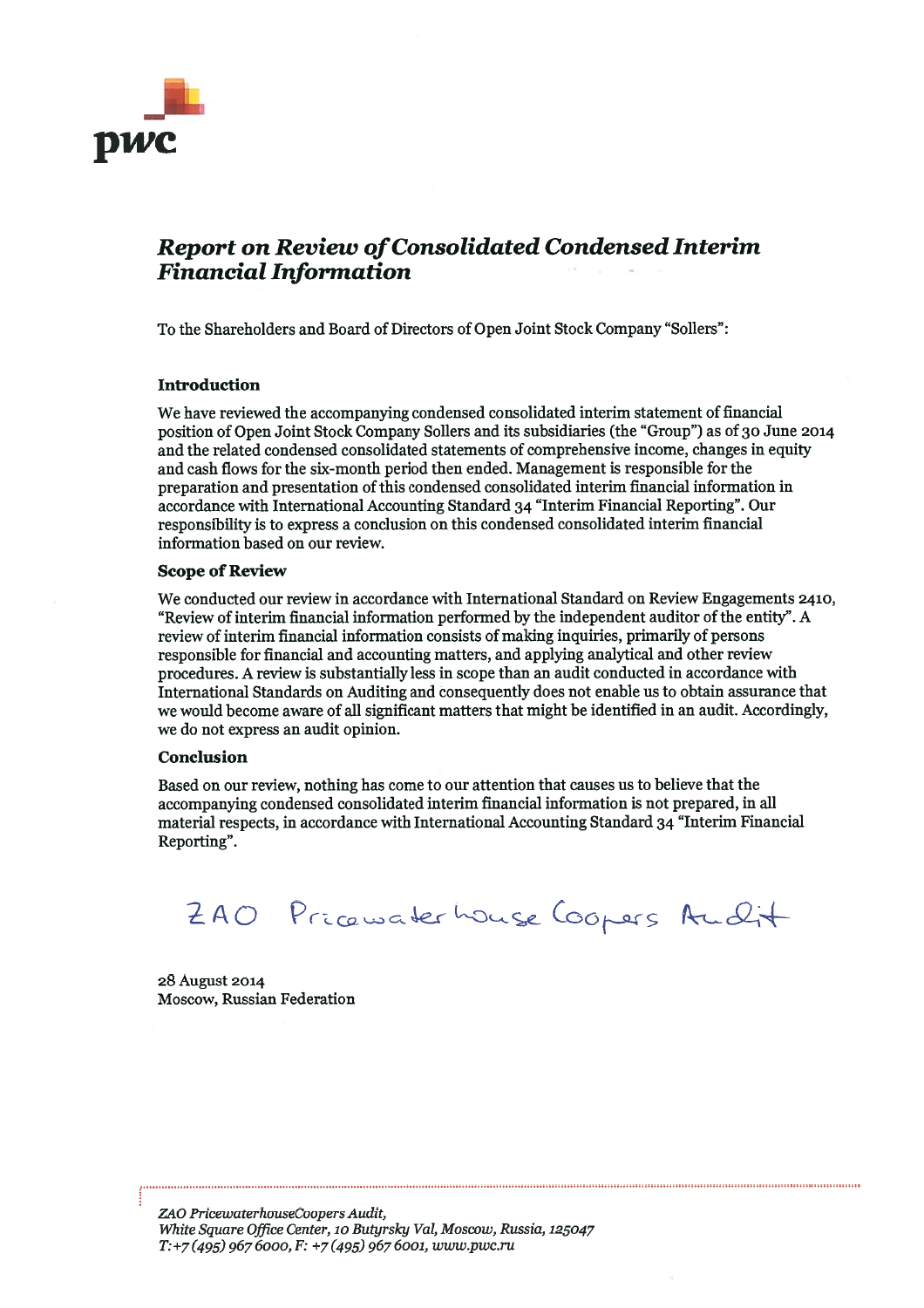

# **Report on Review of Consolidated Condensed Interim Financial Information**

To the Shareholders and Board of Directors of Open Joint Stock Company "Sollers":

## **Introduction**

We have reviewed the accompanying condensed consolidated interim statement of financial position of Open Joint Stock Company Sollers and its subsidiaries (the "Group") as of 30 June 2014 and the related condensed consolidated statements of comprehensive income, changes in equity and cash flows for the six-month period then ended. Management is responsible for the preparation and presentation of this condensed consolidated interim financial information in accordance with International Accounting Standard 34 "Interim Financial Reporting". Our responsibility is to express a conclusion on this condensed consolidated interim financial information based on our review.

#### **Scope of Review**

We conducted our review in accordance with International Standard on Review Engagements 2410, "Review of interim financial information performed by the independent auditor of the entity". A review of interim financial information consists of making inquiries, primarily of persons responsible for financial and accounting matters, and applying analytical and other review procedures. A review is substantially less in scope than an audit conducted in accordance with International Standards on Auditing and consequently does not enable us to obtain assurance that we would become aware of all significant matters that might be identified in an audit. Accordingly, we do not express an audit opinion.

#### Conclusion

Based on our review, nothing has come to our attention that causes us to believe that the accompanying condensed consolidated interim financial information is not prepared, in all material respects, in accordance with International Accounting Standard 34 "Interim Financial Reporting".

240 Pricewaterhouse Coopers Audit

28 August 2014 Moscow, Russian Federation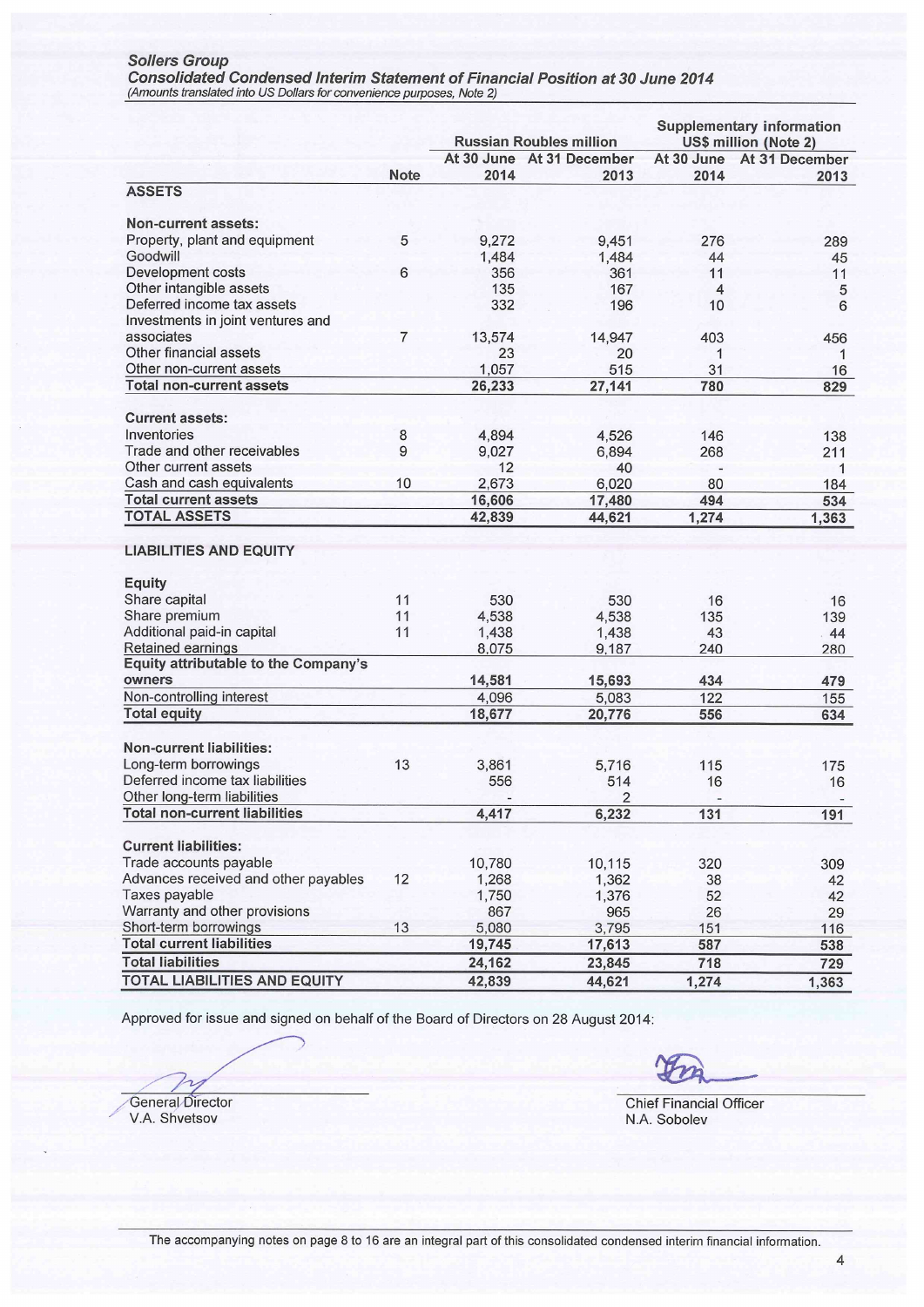Sollers Group<br>Consolidated Condensed Interim Statement of Financial Position at 30 June 2014<br>(Amounts translated into US Dollars for convenience purposes, Note 2)

|                                                |                | <b>Russian Roubles million</b> |                           |          | <b>Supplementary information</b><br>US\$ million (Note 2) |
|------------------------------------------------|----------------|--------------------------------|---------------------------|----------|-----------------------------------------------------------|
|                                                |                |                                | At 30 June At 31 December |          | At 30 June At 31 December                                 |
|                                                | <b>Note</b>    | 2014                           | 2013                      | 2014     | 2013                                                      |
| <b>ASSETS</b>                                  |                |                                |                           |          |                                                           |
| Non-current assets:                            |                |                                |                           |          |                                                           |
| Property, plant and equipment                  | 5              |                                |                           |          |                                                           |
| Goodwill                                       |                | 9,272                          | 9,451                     | 276      | 289                                                       |
| <b>Development costs</b>                       | 6              | 1,484<br>356                   | 1,484<br>361              | 44<br>11 | 45<br>11                                                  |
| Other intangible assets                        |                | 135                            | 167                       | 4        |                                                           |
| Deferred income tax assets                     |                | 332                            | 196                       | 10       | 5<br>6                                                    |
| Investments in joint ventures and              |                |                                |                           |          |                                                           |
| associates                                     | $\overline{7}$ | 13,574                         | 14,947                    | 403      | 456                                                       |
| Other financial assets                         |                | 23                             | 20                        | 1        | 1                                                         |
| Other non-current assets                       |                | 1,057                          | 515                       | 31       | 16                                                        |
| <b>Total non-current assets</b>                |                | 26,233                         | 27,141                    | 780      | 829                                                       |
|                                                |                |                                |                           |          |                                                           |
| <b>Current assets:</b>                         |                |                                |                           |          |                                                           |
| Inventories                                    | 8              | 4,894                          | 4,526                     | 146      | 138                                                       |
| Trade and other receivables                    | 9              | 9,027                          | 6,894                     | 268      | 211                                                       |
| Other current assets                           |                | 12                             | 40                        |          | $\mathbf{1}$                                              |
| Cash and cash equivalents                      | 10             | 2,673                          | 6,020                     | 80       | 184                                                       |
| <b>Total current assets</b>                    |                | 16,606                         | 17,480                    | 494      | 534                                                       |
| <b>TOTAL ASSETS</b>                            |                | 42,839                         | 44,621                    | 1,274    | 1,363                                                     |
| <b>LIABILITIES AND EQUITY</b><br><b>Equity</b> |                |                                |                           |          |                                                           |
| Share capital                                  | 11             | 530                            | 530                       | 16       | 16                                                        |
| Share premium                                  | 11             | 4,538                          | 4,538                     | 135      | 139                                                       |
| Additional paid-in capital                     | 11             | 1,438                          | 1,438                     | 43       | 44                                                        |
| Retained earnings                              |                | 8,075                          | 9,187                     | 240      | 280                                                       |
| <b>Equity attributable to the Company's</b>    |                |                                |                           |          |                                                           |
| owners                                         |                | 14,581                         | 15,693                    | 434      | 479                                                       |
| Non-controlling interest                       |                | 4,096                          | 5,083                     | 122      | 155                                                       |
| <b>Total equity</b>                            |                | 18,677                         | 20,776                    | 556      | 634                                                       |
|                                                |                |                                |                           |          |                                                           |
| <b>Non-current liabilities:</b>                |                |                                |                           |          |                                                           |
| Long-term borrowings                           | 13             | 3,861                          | 5,716                     | 115      | 175                                                       |
| Deferred income tax liabilities                |                | 556                            | 514                       | 16       | 16                                                        |
| Other long-term liabilities                    |                |                                | 2                         | $\equiv$ |                                                           |
| <b>Total non-current liabilities</b>           |                | 4,417                          | 6,232                     | 131      | 191                                                       |
| <b>Current liabilities:</b>                    |                |                                |                           |          |                                                           |
| Trade accounts payable                         |                | 10,780                         | 10,115                    | 320      | 309                                                       |
| Advances received and other payables           | 12             | 1,268                          | 1,362                     | 38       | 42                                                        |
| Taxes payable                                  |                | 1,750                          | 1,376                     | 52       | 42                                                        |
| Warranty and other provisions                  |                | 867                            | 965                       | 26       | 29                                                        |
| Short-term borrowings                          | 13             | 5,080                          | 3,795                     | 151      | 116                                                       |
| <b>Total current liabilities</b>               |                | 19,745                         | 17,613                    | 587      | 538                                                       |
| <b>Total liabilities</b>                       |                | 24,162                         | 23,845                    | 718      | 729                                                       |
| <b>TOTAL LIABILITIES AND EQUITY</b>            |                | 42,839                         | 44,621                    | 1,274    | 1,363                                                     |

Approved for issue and signed on behalf of the Board of Directors on 28 August 2014:

General Director

V.A. Shvetsov

**Chief Financial Officer** N.A. Sobolev

 $\overline{4}$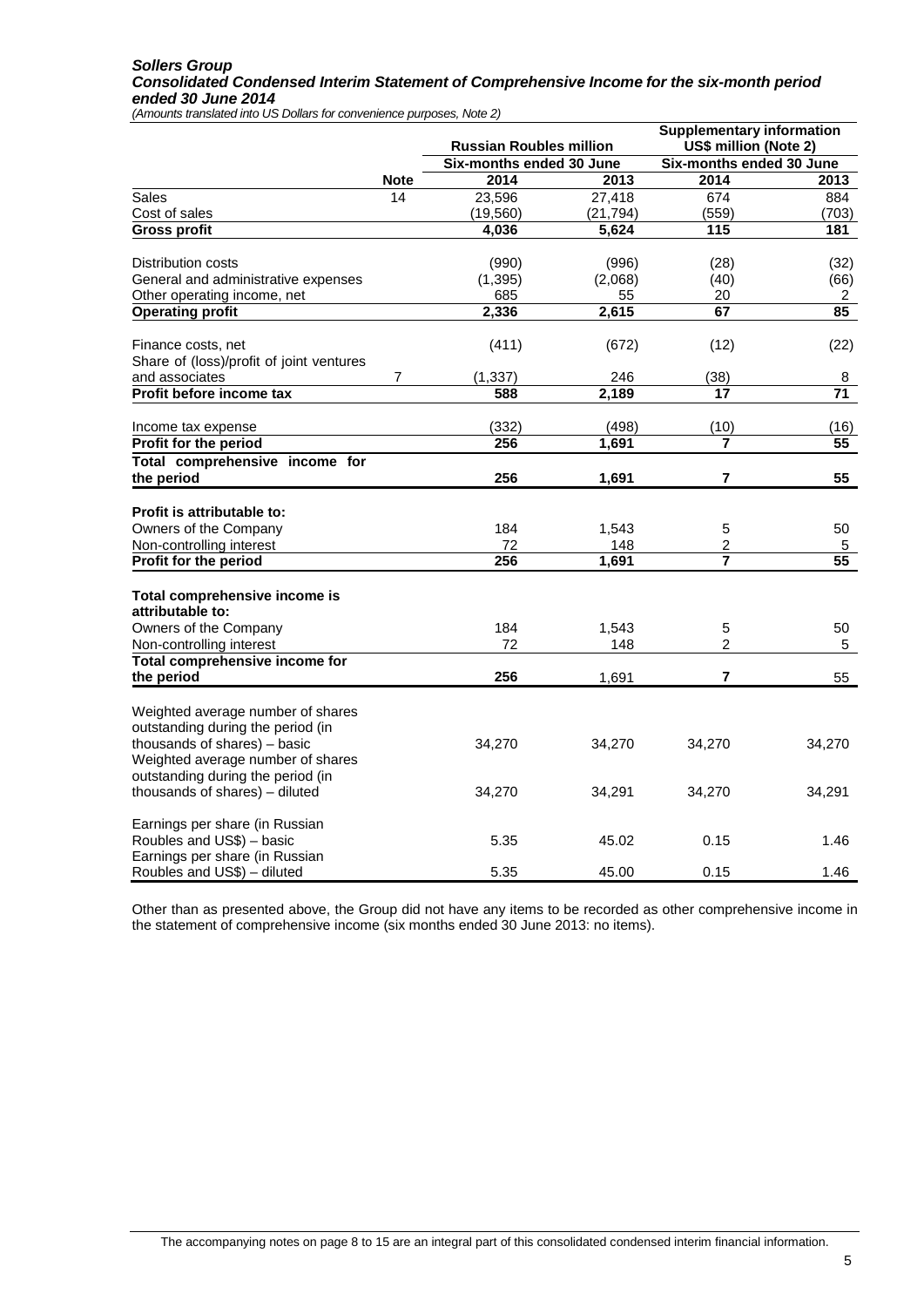#### *Sollers Group Consolidated Condensed Interim Statement of Comprehensive Income for the six-month period ended 30 June 2014*

*(Amounts translated into US Dollars for convenience purposes, Note 2)*

|                                                                                                        |             | <b>Russian Roubles million</b> |                | <b>Supplementary information</b><br>US\$ million (Note 2) |                 |
|--------------------------------------------------------------------------------------------------------|-------------|--------------------------------|----------------|-----------------------------------------------------------|-----------------|
|                                                                                                        |             | Six-months ended 30 June       |                | Six-months ended 30 June                                  |                 |
|                                                                                                        | <b>Note</b> | 2014                           | 2013           | 2014                                                      | 2013            |
| Sales                                                                                                  | 14          | 23,596                         | 27,418         | 674                                                       | 884             |
| Cost of sales                                                                                          |             | (19, 560)                      | (21, 794)      | (559)                                                     | (703)           |
| <b>Gross profit</b>                                                                                    |             | 4,036                          | 5,624          | 115                                                       | 181             |
| Distribution costs                                                                                     |             | (990)                          | (996)          | (28)                                                      | (32)            |
| General and administrative expenses                                                                    |             | (1, 395)                       | (2,068)        | (40)                                                      | (66)            |
| Other operating income, net                                                                            |             | 685                            | 55             | 20                                                        | $\overline{2}$  |
| <b>Operating profit</b>                                                                                |             | 2,336                          | 2,615          | 67                                                        | 85              |
| Finance costs, net<br>Share of (loss)/profit of joint ventures                                         |             | (411)                          | (672)          | (12)                                                      | (22)            |
| and associates                                                                                         | 7           | (1, 337)                       | 246            | (38)                                                      | 8               |
| Profit before income tax                                                                               |             | 588                            | 2,189          | 17                                                        | $\overline{71}$ |
|                                                                                                        |             |                                |                |                                                           |                 |
| Income tax expense                                                                                     |             | (332)<br>256                   | (498)<br>1,691 | (10)<br>7                                                 | (16)<br>55      |
| Profit for the period                                                                                  |             |                                |                |                                                           |                 |
| Total comprehensive income for<br>the period                                                           |             | 256                            | 1,691          | 7                                                         | 55              |
|                                                                                                        |             |                                |                |                                                           |                 |
| Profit is attributable to:                                                                             |             |                                |                |                                                           |                 |
| Owners of the Company                                                                                  |             | 184                            | 1,543          | 5                                                         | 50              |
| Non-controlling interest                                                                               |             | 72                             | 148            | $\overline{c}$<br>$\overline{\mathbf{7}}$                 | 5               |
| Profit for the period                                                                                  |             | 256                            | 1,691          |                                                           | 55              |
| Total comprehensive income is<br>attributable to:                                                      |             |                                |                |                                                           |                 |
| Owners of the Company                                                                                  |             | 184                            | 1,543          | 5                                                         | 50              |
| Non-controlling interest                                                                               |             | 72                             | 148            | $\overline{2}$                                            | 5               |
| Total comprehensive income for                                                                         |             |                                |                |                                                           |                 |
| the period                                                                                             |             | 256                            | 1,691          | $\overline{7}$                                            | 55              |
| Weighted average number of shares<br>outstanding during the period (in                                 |             |                                |                |                                                           |                 |
| thousands of shares) - basic<br>Weighted average number of shares<br>outstanding during the period (in |             | 34,270                         | 34,270         | 34,270                                                    | 34,270          |
| thousands of shares) - diluted                                                                         |             | 34,270                         | 34,291         | 34,270                                                    | 34,291          |
| Earnings per share (in Russian<br>Roubles and US\$) - basic                                            |             | 5.35                           | 45.02          | 0.15                                                      | 1.46            |
| Earnings per share (in Russian<br>Roubles and US\$) - diluted                                          |             | 5.35                           | 45.00          | 0.15                                                      | 1.46            |

Other than as presented above, the Group did not have any items to be recorded as other comprehensive income in the statement of comprehensive income (six months ended 30 June 2013: no items).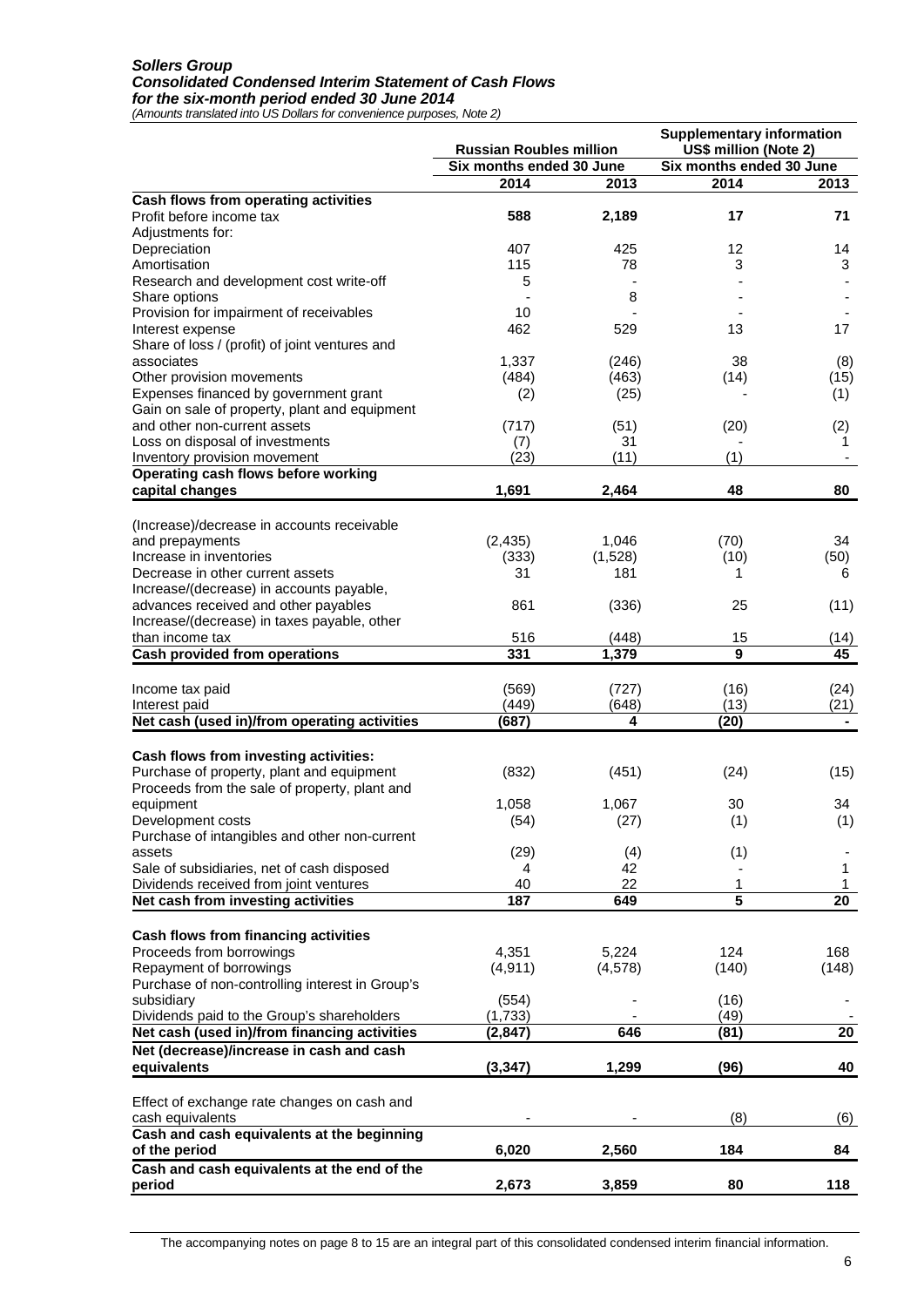#### *Sollers Group Consolidated Condensed Interim Statement of Cash Flows for the six-month period ended 30 June 2014*

*(Amounts translated into US Dollars for convenience purposes, Note 2)*

| Six months ended 30 June<br>Six months ended 30 June<br>2014<br>2014<br>2013<br>2013<br>Cash flows from operating activities<br>2,189<br>588<br>17<br>71<br>Profit before income tax<br>Adjustments for:<br>407<br>Depreciation<br>425<br>12<br>14<br>3<br>Amortisation<br>115<br>78<br>3<br>Research and development cost write-off<br>5<br>8<br>Share options<br>Provision for impairment of receivables<br>10<br>Interest expense<br>462<br>529<br>13<br>17<br>Share of loss / (profit) of joint ventures and<br>associates<br>1,337<br>38<br>(8)<br>(246)<br>Other provision movements<br>(484)<br>(463)<br>(14)<br>(15)<br>Expenses financed by government grant<br>(1)<br>(2)<br>(25)<br>Gain on sale of property, plant and equipment<br>and other non-current assets<br>(717)<br>(51)<br>(20)<br>(2)<br>Loss on disposal of investments<br>31<br>(7)<br>1<br>(23)<br>(11)<br>(1)<br>Inventory provision movement<br>Operating cash flows before working<br>1,691<br>48<br>capital changes<br>2,464<br>80<br>(Increase)/decrease in accounts receivable<br>(2, 435)<br>(70)<br>and prepayments<br>1,046<br>34<br>Increase in inventories<br>(50)<br>(333)<br>(1,528)<br>(10)<br>Decrease in other current assets<br>31<br>181<br>1<br>6<br>Increase/(decrease) in accounts payable,<br>advances received and other payables<br>861<br>(336)<br>25<br>(11)<br>Increase/(decrease) in taxes payable, other<br>than income tax<br>516<br>(448)<br>15<br>(14)<br>9<br>45<br><b>Cash provided from operations</b><br>331<br>1,379<br>Income tax paid<br>(569)<br>(727)<br>(16)<br>(24)<br>(13)<br>(449)<br>(648)<br>Interest paid<br>Net cash (used in)/from operating activities<br>4<br>(20)<br>(687)<br>Cash flows from investing activities:<br>Purchase of property, plant and equipment<br>(832)<br>(451)<br>(24)<br>(15)<br>Proceeds from the sale of property, plant and<br>equipment<br>1,058<br>1,067<br>30<br>34<br>(1)<br>(1)<br>(54)<br>Development costs<br>(27)<br>Purchase of intangibles and other non-current<br>(1)<br>(29)<br>(4)<br>assets<br>Sale of subsidiaries, net of cash disposed<br>42<br>4<br>1<br>22<br>Dividends received from joint ventures<br>40<br>1<br>1<br>5<br>Net cash from investing activities<br>187<br>649<br>20<br>Cash flows from financing activities<br>Proceeds from borrowings<br>4,351<br>5,224<br>124<br>168<br>Repayment of borrowings<br>(4, 911)<br>(4, 578)<br>(140)<br>(148)<br>Purchase of non-controlling interest in Group's<br>subsidiary<br>(554)<br>(16)<br>Dividends paid to the Group's shareholders<br>(1,733)<br>(49)<br>Net cash (used in)/from financing activities<br>646<br>(81)<br>20<br>(2, 847)<br>Net (decrease)/increase in cash and cash<br>40<br>equivalents<br>(3, 347)<br>1,299<br>(96)<br>Effect of exchange rate changes on cash and<br>(8)<br>cash equivalents<br>(6)<br>Cash and cash equivalents at the beginning<br>6,020<br>2,560<br>184<br>of the period<br>84<br>Cash and cash equivalents at the end of the<br>3,859<br>80<br>118<br>period<br>2,673 | <b>Russian Roubles million</b> |  | <b>Supplementary information</b><br>US\$ million (Note 2) |      |  |
|--------------------------------------------------------------------------------------------------------------------------------------------------------------------------------------------------------------------------------------------------------------------------------------------------------------------------------------------------------------------------------------------------------------------------------------------------------------------------------------------------------------------------------------------------------------------------------------------------------------------------------------------------------------------------------------------------------------------------------------------------------------------------------------------------------------------------------------------------------------------------------------------------------------------------------------------------------------------------------------------------------------------------------------------------------------------------------------------------------------------------------------------------------------------------------------------------------------------------------------------------------------------------------------------------------------------------------------------------------------------------------------------------------------------------------------------------------------------------------------------------------------------------------------------------------------------------------------------------------------------------------------------------------------------------------------------------------------------------------------------------------------------------------------------------------------------------------------------------------------------------------------------------------------------------------------------------------------------------------------------------------------------------------------------------------------------------------------------------------------------------------------------------------------------------------------------------------------------------------------------------------------------------------------------------------------------------------------------------------------------------------------------------------------------------------------------------------------------------------------------------------------------------------------------------------------------------------------------------------------------------------------------------------------------------------------------------------------------------------------------------------------------------------------------------------------------------------------------------------------------------------------------------------------------------------------------------------------------------------------------------------------------------------------------------|--------------------------------|--|-----------------------------------------------------------|------|--|
|                                                                                                                                                                                                                                                                                                                                                                                                                                                                                                                                                                                                                                                                                                                                                                                                                                                                                                                                                                                                                                                                                                                                                                                                                                                                                                                                                                                                                                                                                                                                                                                                                                                                                                                                                                                                                                                                                                                                                                                                                                                                                                                                                                                                                                                                                                                                                                                                                                                                                                                                                                                                                                                                                                                                                                                                                                                                                                                                                                                                                                                  |                                |  |                                                           |      |  |
|                                                                                                                                                                                                                                                                                                                                                                                                                                                                                                                                                                                                                                                                                                                                                                                                                                                                                                                                                                                                                                                                                                                                                                                                                                                                                                                                                                                                                                                                                                                                                                                                                                                                                                                                                                                                                                                                                                                                                                                                                                                                                                                                                                                                                                                                                                                                                                                                                                                                                                                                                                                                                                                                                                                                                                                                                                                                                                                                                                                                                                                  |                                |  |                                                           |      |  |
|                                                                                                                                                                                                                                                                                                                                                                                                                                                                                                                                                                                                                                                                                                                                                                                                                                                                                                                                                                                                                                                                                                                                                                                                                                                                                                                                                                                                                                                                                                                                                                                                                                                                                                                                                                                                                                                                                                                                                                                                                                                                                                                                                                                                                                                                                                                                                                                                                                                                                                                                                                                                                                                                                                                                                                                                                                                                                                                                                                                                                                                  |                                |  |                                                           |      |  |
|                                                                                                                                                                                                                                                                                                                                                                                                                                                                                                                                                                                                                                                                                                                                                                                                                                                                                                                                                                                                                                                                                                                                                                                                                                                                                                                                                                                                                                                                                                                                                                                                                                                                                                                                                                                                                                                                                                                                                                                                                                                                                                                                                                                                                                                                                                                                                                                                                                                                                                                                                                                                                                                                                                                                                                                                                                                                                                                                                                                                                                                  |                                |  |                                                           |      |  |
|                                                                                                                                                                                                                                                                                                                                                                                                                                                                                                                                                                                                                                                                                                                                                                                                                                                                                                                                                                                                                                                                                                                                                                                                                                                                                                                                                                                                                                                                                                                                                                                                                                                                                                                                                                                                                                                                                                                                                                                                                                                                                                                                                                                                                                                                                                                                                                                                                                                                                                                                                                                                                                                                                                                                                                                                                                                                                                                                                                                                                                                  |                                |  |                                                           |      |  |
|                                                                                                                                                                                                                                                                                                                                                                                                                                                                                                                                                                                                                                                                                                                                                                                                                                                                                                                                                                                                                                                                                                                                                                                                                                                                                                                                                                                                                                                                                                                                                                                                                                                                                                                                                                                                                                                                                                                                                                                                                                                                                                                                                                                                                                                                                                                                                                                                                                                                                                                                                                                                                                                                                                                                                                                                                                                                                                                                                                                                                                                  |                                |  |                                                           |      |  |
|                                                                                                                                                                                                                                                                                                                                                                                                                                                                                                                                                                                                                                                                                                                                                                                                                                                                                                                                                                                                                                                                                                                                                                                                                                                                                                                                                                                                                                                                                                                                                                                                                                                                                                                                                                                                                                                                                                                                                                                                                                                                                                                                                                                                                                                                                                                                                                                                                                                                                                                                                                                                                                                                                                                                                                                                                                                                                                                                                                                                                                                  |                                |  |                                                           |      |  |
|                                                                                                                                                                                                                                                                                                                                                                                                                                                                                                                                                                                                                                                                                                                                                                                                                                                                                                                                                                                                                                                                                                                                                                                                                                                                                                                                                                                                                                                                                                                                                                                                                                                                                                                                                                                                                                                                                                                                                                                                                                                                                                                                                                                                                                                                                                                                                                                                                                                                                                                                                                                                                                                                                                                                                                                                                                                                                                                                                                                                                                                  |                                |  |                                                           |      |  |
|                                                                                                                                                                                                                                                                                                                                                                                                                                                                                                                                                                                                                                                                                                                                                                                                                                                                                                                                                                                                                                                                                                                                                                                                                                                                                                                                                                                                                                                                                                                                                                                                                                                                                                                                                                                                                                                                                                                                                                                                                                                                                                                                                                                                                                                                                                                                                                                                                                                                                                                                                                                                                                                                                                                                                                                                                                                                                                                                                                                                                                                  |                                |  |                                                           |      |  |
|                                                                                                                                                                                                                                                                                                                                                                                                                                                                                                                                                                                                                                                                                                                                                                                                                                                                                                                                                                                                                                                                                                                                                                                                                                                                                                                                                                                                                                                                                                                                                                                                                                                                                                                                                                                                                                                                                                                                                                                                                                                                                                                                                                                                                                                                                                                                                                                                                                                                                                                                                                                                                                                                                                                                                                                                                                                                                                                                                                                                                                                  |                                |  |                                                           |      |  |
|                                                                                                                                                                                                                                                                                                                                                                                                                                                                                                                                                                                                                                                                                                                                                                                                                                                                                                                                                                                                                                                                                                                                                                                                                                                                                                                                                                                                                                                                                                                                                                                                                                                                                                                                                                                                                                                                                                                                                                                                                                                                                                                                                                                                                                                                                                                                                                                                                                                                                                                                                                                                                                                                                                                                                                                                                                                                                                                                                                                                                                                  |                                |  |                                                           |      |  |
|                                                                                                                                                                                                                                                                                                                                                                                                                                                                                                                                                                                                                                                                                                                                                                                                                                                                                                                                                                                                                                                                                                                                                                                                                                                                                                                                                                                                                                                                                                                                                                                                                                                                                                                                                                                                                                                                                                                                                                                                                                                                                                                                                                                                                                                                                                                                                                                                                                                                                                                                                                                                                                                                                                                                                                                                                                                                                                                                                                                                                                                  |                                |  |                                                           |      |  |
|                                                                                                                                                                                                                                                                                                                                                                                                                                                                                                                                                                                                                                                                                                                                                                                                                                                                                                                                                                                                                                                                                                                                                                                                                                                                                                                                                                                                                                                                                                                                                                                                                                                                                                                                                                                                                                                                                                                                                                                                                                                                                                                                                                                                                                                                                                                                                                                                                                                                                                                                                                                                                                                                                                                                                                                                                                                                                                                                                                                                                                                  |                                |  |                                                           |      |  |
|                                                                                                                                                                                                                                                                                                                                                                                                                                                                                                                                                                                                                                                                                                                                                                                                                                                                                                                                                                                                                                                                                                                                                                                                                                                                                                                                                                                                                                                                                                                                                                                                                                                                                                                                                                                                                                                                                                                                                                                                                                                                                                                                                                                                                                                                                                                                                                                                                                                                                                                                                                                                                                                                                                                                                                                                                                                                                                                                                                                                                                                  |                                |  |                                                           |      |  |
|                                                                                                                                                                                                                                                                                                                                                                                                                                                                                                                                                                                                                                                                                                                                                                                                                                                                                                                                                                                                                                                                                                                                                                                                                                                                                                                                                                                                                                                                                                                                                                                                                                                                                                                                                                                                                                                                                                                                                                                                                                                                                                                                                                                                                                                                                                                                                                                                                                                                                                                                                                                                                                                                                                                                                                                                                                                                                                                                                                                                                                                  |                                |  |                                                           |      |  |
|                                                                                                                                                                                                                                                                                                                                                                                                                                                                                                                                                                                                                                                                                                                                                                                                                                                                                                                                                                                                                                                                                                                                                                                                                                                                                                                                                                                                                                                                                                                                                                                                                                                                                                                                                                                                                                                                                                                                                                                                                                                                                                                                                                                                                                                                                                                                                                                                                                                                                                                                                                                                                                                                                                                                                                                                                                                                                                                                                                                                                                                  |                                |  |                                                           |      |  |
|                                                                                                                                                                                                                                                                                                                                                                                                                                                                                                                                                                                                                                                                                                                                                                                                                                                                                                                                                                                                                                                                                                                                                                                                                                                                                                                                                                                                                                                                                                                                                                                                                                                                                                                                                                                                                                                                                                                                                                                                                                                                                                                                                                                                                                                                                                                                                                                                                                                                                                                                                                                                                                                                                                                                                                                                                                                                                                                                                                                                                                                  |                                |  |                                                           |      |  |
|                                                                                                                                                                                                                                                                                                                                                                                                                                                                                                                                                                                                                                                                                                                                                                                                                                                                                                                                                                                                                                                                                                                                                                                                                                                                                                                                                                                                                                                                                                                                                                                                                                                                                                                                                                                                                                                                                                                                                                                                                                                                                                                                                                                                                                                                                                                                                                                                                                                                                                                                                                                                                                                                                                                                                                                                                                                                                                                                                                                                                                                  |                                |  |                                                           |      |  |
|                                                                                                                                                                                                                                                                                                                                                                                                                                                                                                                                                                                                                                                                                                                                                                                                                                                                                                                                                                                                                                                                                                                                                                                                                                                                                                                                                                                                                                                                                                                                                                                                                                                                                                                                                                                                                                                                                                                                                                                                                                                                                                                                                                                                                                                                                                                                                                                                                                                                                                                                                                                                                                                                                                                                                                                                                                                                                                                                                                                                                                                  |                                |  |                                                           |      |  |
|                                                                                                                                                                                                                                                                                                                                                                                                                                                                                                                                                                                                                                                                                                                                                                                                                                                                                                                                                                                                                                                                                                                                                                                                                                                                                                                                                                                                                                                                                                                                                                                                                                                                                                                                                                                                                                                                                                                                                                                                                                                                                                                                                                                                                                                                                                                                                                                                                                                                                                                                                                                                                                                                                                                                                                                                                                                                                                                                                                                                                                                  |                                |  |                                                           |      |  |
|                                                                                                                                                                                                                                                                                                                                                                                                                                                                                                                                                                                                                                                                                                                                                                                                                                                                                                                                                                                                                                                                                                                                                                                                                                                                                                                                                                                                                                                                                                                                                                                                                                                                                                                                                                                                                                                                                                                                                                                                                                                                                                                                                                                                                                                                                                                                                                                                                                                                                                                                                                                                                                                                                                                                                                                                                                                                                                                                                                                                                                                  |                                |  |                                                           |      |  |
|                                                                                                                                                                                                                                                                                                                                                                                                                                                                                                                                                                                                                                                                                                                                                                                                                                                                                                                                                                                                                                                                                                                                                                                                                                                                                                                                                                                                                                                                                                                                                                                                                                                                                                                                                                                                                                                                                                                                                                                                                                                                                                                                                                                                                                                                                                                                                                                                                                                                                                                                                                                                                                                                                                                                                                                                                                                                                                                                                                                                                                                  |                                |  |                                                           |      |  |
|                                                                                                                                                                                                                                                                                                                                                                                                                                                                                                                                                                                                                                                                                                                                                                                                                                                                                                                                                                                                                                                                                                                                                                                                                                                                                                                                                                                                                                                                                                                                                                                                                                                                                                                                                                                                                                                                                                                                                                                                                                                                                                                                                                                                                                                                                                                                                                                                                                                                                                                                                                                                                                                                                                                                                                                                                                                                                                                                                                                                                                                  |                                |  |                                                           |      |  |
|                                                                                                                                                                                                                                                                                                                                                                                                                                                                                                                                                                                                                                                                                                                                                                                                                                                                                                                                                                                                                                                                                                                                                                                                                                                                                                                                                                                                                                                                                                                                                                                                                                                                                                                                                                                                                                                                                                                                                                                                                                                                                                                                                                                                                                                                                                                                                                                                                                                                                                                                                                                                                                                                                                                                                                                                                                                                                                                                                                                                                                                  |                                |  |                                                           |      |  |
|                                                                                                                                                                                                                                                                                                                                                                                                                                                                                                                                                                                                                                                                                                                                                                                                                                                                                                                                                                                                                                                                                                                                                                                                                                                                                                                                                                                                                                                                                                                                                                                                                                                                                                                                                                                                                                                                                                                                                                                                                                                                                                                                                                                                                                                                                                                                                                                                                                                                                                                                                                                                                                                                                                                                                                                                                                                                                                                                                                                                                                                  |                                |  |                                                           |      |  |
|                                                                                                                                                                                                                                                                                                                                                                                                                                                                                                                                                                                                                                                                                                                                                                                                                                                                                                                                                                                                                                                                                                                                                                                                                                                                                                                                                                                                                                                                                                                                                                                                                                                                                                                                                                                                                                                                                                                                                                                                                                                                                                                                                                                                                                                                                                                                                                                                                                                                                                                                                                                                                                                                                                                                                                                                                                                                                                                                                                                                                                                  |                                |  |                                                           |      |  |
|                                                                                                                                                                                                                                                                                                                                                                                                                                                                                                                                                                                                                                                                                                                                                                                                                                                                                                                                                                                                                                                                                                                                                                                                                                                                                                                                                                                                                                                                                                                                                                                                                                                                                                                                                                                                                                                                                                                                                                                                                                                                                                                                                                                                                                                                                                                                                                                                                                                                                                                                                                                                                                                                                                                                                                                                                                                                                                                                                                                                                                                  |                                |  |                                                           |      |  |
|                                                                                                                                                                                                                                                                                                                                                                                                                                                                                                                                                                                                                                                                                                                                                                                                                                                                                                                                                                                                                                                                                                                                                                                                                                                                                                                                                                                                                                                                                                                                                                                                                                                                                                                                                                                                                                                                                                                                                                                                                                                                                                                                                                                                                                                                                                                                                                                                                                                                                                                                                                                                                                                                                                                                                                                                                                                                                                                                                                                                                                                  |                                |  |                                                           |      |  |
|                                                                                                                                                                                                                                                                                                                                                                                                                                                                                                                                                                                                                                                                                                                                                                                                                                                                                                                                                                                                                                                                                                                                                                                                                                                                                                                                                                                                                                                                                                                                                                                                                                                                                                                                                                                                                                                                                                                                                                                                                                                                                                                                                                                                                                                                                                                                                                                                                                                                                                                                                                                                                                                                                                                                                                                                                                                                                                                                                                                                                                                  |                                |  |                                                           |      |  |
|                                                                                                                                                                                                                                                                                                                                                                                                                                                                                                                                                                                                                                                                                                                                                                                                                                                                                                                                                                                                                                                                                                                                                                                                                                                                                                                                                                                                                                                                                                                                                                                                                                                                                                                                                                                                                                                                                                                                                                                                                                                                                                                                                                                                                                                                                                                                                                                                                                                                                                                                                                                                                                                                                                                                                                                                                                                                                                                                                                                                                                                  |                                |  |                                                           |      |  |
|                                                                                                                                                                                                                                                                                                                                                                                                                                                                                                                                                                                                                                                                                                                                                                                                                                                                                                                                                                                                                                                                                                                                                                                                                                                                                                                                                                                                                                                                                                                                                                                                                                                                                                                                                                                                                                                                                                                                                                                                                                                                                                                                                                                                                                                                                                                                                                                                                                                                                                                                                                                                                                                                                                                                                                                                                                                                                                                                                                                                                                                  |                                |  |                                                           | (21) |  |
|                                                                                                                                                                                                                                                                                                                                                                                                                                                                                                                                                                                                                                                                                                                                                                                                                                                                                                                                                                                                                                                                                                                                                                                                                                                                                                                                                                                                                                                                                                                                                                                                                                                                                                                                                                                                                                                                                                                                                                                                                                                                                                                                                                                                                                                                                                                                                                                                                                                                                                                                                                                                                                                                                                                                                                                                                                                                                                                                                                                                                                                  |                                |  |                                                           |      |  |
|                                                                                                                                                                                                                                                                                                                                                                                                                                                                                                                                                                                                                                                                                                                                                                                                                                                                                                                                                                                                                                                                                                                                                                                                                                                                                                                                                                                                                                                                                                                                                                                                                                                                                                                                                                                                                                                                                                                                                                                                                                                                                                                                                                                                                                                                                                                                                                                                                                                                                                                                                                                                                                                                                                                                                                                                                                                                                                                                                                                                                                                  |                                |  |                                                           |      |  |
|                                                                                                                                                                                                                                                                                                                                                                                                                                                                                                                                                                                                                                                                                                                                                                                                                                                                                                                                                                                                                                                                                                                                                                                                                                                                                                                                                                                                                                                                                                                                                                                                                                                                                                                                                                                                                                                                                                                                                                                                                                                                                                                                                                                                                                                                                                                                                                                                                                                                                                                                                                                                                                                                                                                                                                                                                                                                                                                                                                                                                                                  |                                |  |                                                           |      |  |
|                                                                                                                                                                                                                                                                                                                                                                                                                                                                                                                                                                                                                                                                                                                                                                                                                                                                                                                                                                                                                                                                                                                                                                                                                                                                                                                                                                                                                                                                                                                                                                                                                                                                                                                                                                                                                                                                                                                                                                                                                                                                                                                                                                                                                                                                                                                                                                                                                                                                                                                                                                                                                                                                                                                                                                                                                                                                                                                                                                                                                                                  |                                |  |                                                           |      |  |
|                                                                                                                                                                                                                                                                                                                                                                                                                                                                                                                                                                                                                                                                                                                                                                                                                                                                                                                                                                                                                                                                                                                                                                                                                                                                                                                                                                                                                                                                                                                                                                                                                                                                                                                                                                                                                                                                                                                                                                                                                                                                                                                                                                                                                                                                                                                                                                                                                                                                                                                                                                                                                                                                                                                                                                                                                                                                                                                                                                                                                                                  |                                |  |                                                           |      |  |
|                                                                                                                                                                                                                                                                                                                                                                                                                                                                                                                                                                                                                                                                                                                                                                                                                                                                                                                                                                                                                                                                                                                                                                                                                                                                                                                                                                                                                                                                                                                                                                                                                                                                                                                                                                                                                                                                                                                                                                                                                                                                                                                                                                                                                                                                                                                                                                                                                                                                                                                                                                                                                                                                                                                                                                                                                                                                                                                                                                                                                                                  |                                |  |                                                           |      |  |
|                                                                                                                                                                                                                                                                                                                                                                                                                                                                                                                                                                                                                                                                                                                                                                                                                                                                                                                                                                                                                                                                                                                                                                                                                                                                                                                                                                                                                                                                                                                                                                                                                                                                                                                                                                                                                                                                                                                                                                                                                                                                                                                                                                                                                                                                                                                                                                                                                                                                                                                                                                                                                                                                                                                                                                                                                                                                                                                                                                                                                                                  |                                |  |                                                           |      |  |
|                                                                                                                                                                                                                                                                                                                                                                                                                                                                                                                                                                                                                                                                                                                                                                                                                                                                                                                                                                                                                                                                                                                                                                                                                                                                                                                                                                                                                                                                                                                                                                                                                                                                                                                                                                                                                                                                                                                                                                                                                                                                                                                                                                                                                                                                                                                                                                                                                                                                                                                                                                                                                                                                                                                                                                                                                                                                                                                                                                                                                                                  |                                |  |                                                           |      |  |
|                                                                                                                                                                                                                                                                                                                                                                                                                                                                                                                                                                                                                                                                                                                                                                                                                                                                                                                                                                                                                                                                                                                                                                                                                                                                                                                                                                                                                                                                                                                                                                                                                                                                                                                                                                                                                                                                                                                                                                                                                                                                                                                                                                                                                                                                                                                                                                                                                                                                                                                                                                                                                                                                                                                                                                                                                                                                                                                                                                                                                                                  |                                |  |                                                           |      |  |
|                                                                                                                                                                                                                                                                                                                                                                                                                                                                                                                                                                                                                                                                                                                                                                                                                                                                                                                                                                                                                                                                                                                                                                                                                                                                                                                                                                                                                                                                                                                                                                                                                                                                                                                                                                                                                                                                                                                                                                                                                                                                                                                                                                                                                                                                                                                                                                                                                                                                                                                                                                                                                                                                                                                                                                                                                                                                                                                                                                                                                                                  |                                |  |                                                           |      |  |
|                                                                                                                                                                                                                                                                                                                                                                                                                                                                                                                                                                                                                                                                                                                                                                                                                                                                                                                                                                                                                                                                                                                                                                                                                                                                                                                                                                                                                                                                                                                                                                                                                                                                                                                                                                                                                                                                                                                                                                                                                                                                                                                                                                                                                                                                                                                                                                                                                                                                                                                                                                                                                                                                                                                                                                                                                                                                                                                                                                                                                                                  |                                |  |                                                           |      |  |
|                                                                                                                                                                                                                                                                                                                                                                                                                                                                                                                                                                                                                                                                                                                                                                                                                                                                                                                                                                                                                                                                                                                                                                                                                                                                                                                                                                                                                                                                                                                                                                                                                                                                                                                                                                                                                                                                                                                                                                                                                                                                                                                                                                                                                                                                                                                                                                                                                                                                                                                                                                                                                                                                                                                                                                                                                                                                                                                                                                                                                                                  |                                |  |                                                           |      |  |
|                                                                                                                                                                                                                                                                                                                                                                                                                                                                                                                                                                                                                                                                                                                                                                                                                                                                                                                                                                                                                                                                                                                                                                                                                                                                                                                                                                                                                                                                                                                                                                                                                                                                                                                                                                                                                                                                                                                                                                                                                                                                                                                                                                                                                                                                                                                                                                                                                                                                                                                                                                                                                                                                                                                                                                                                                                                                                                                                                                                                                                                  |                                |  |                                                           |      |  |
|                                                                                                                                                                                                                                                                                                                                                                                                                                                                                                                                                                                                                                                                                                                                                                                                                                                                                                                                                                                                                                                                                                                                                                                                                                                                                                                                                                                                                                                                                                                                                                                                                                                                                                                                                                                                                                                                                                                                                                                                                                                                                                                                                                                                                                                                                                                                                                                                                                                                                                                                                                                                                                                                                                                                                                                                                                                                                                                                                                                                                                                  |                                |  |                                                           |      |  |
|                                                                                                                                                                                                                                                                                                                                                                                                                                                                                                                                                                                                                                                                                                                                                                                                                                                                                                                                                                                                                                                                                                                                                                                                                                                                                                                                                                                                                                                                                                                                                                                                                                                                                                                                                                                                                                                                                                                                                                                                                                                                                                                                                                                                                                                                                                                                                                                                                                                                                                                                                                                                                                                                                                                                                                                                                                                                                                                                                                                                                                                  |                                |  |                                                           |      |  |
|                                                                                                                                                                                                                                                                                                                                                                                                                                                                                                                                                                                                                                                                                                                                                                                                                                                                                                                                                                                                                                                                                                                                                                                                                                                                                                                                                                                                                                                                                                                                                                                                                                                                                                                                                                                                                                                                                                                                                                                                                                                                                                                                                                                                                                                                                                                                                                                                                                                                                                                                                                                                                                                                                                                                                                                                                                                                                                                                                                                                                                                  |                                |  |                                                           |      |  |
|                                                                                                                                                                                                                                                                                                                                                                                                                                                                                                                                                                                                                                                                                                                                                                                                                                                                                                                                                                                                                                                                                                                                                                                                                                                                                                                                                                                                                                                                                                                                                                                                                                                                                                                                                                                                                                                                                                                                                                                                                                                                                                                                                                                                                                                                                                                                                                                                                                                                                                                                                                                                                                                                                                                                                                                                                                                                                                                                                                                                                                                  |                                |  |                                                           |      |  |
|                                                                                                                                                                                                                                                                                                                                                                                                                                                                                                                                                                                                                                                                                                                                                                                                                                                                                                                                                                                                                                                                                                                                                                                                                                                                                                                                                                                                                                                                                                                                                                                                                                                                                                                                                                                                                                                                                                                                                                                                                                                                                                                                                                                                                                                                                                                                                                                                                                                                                                                                                                                                                                                                                                                                                                                                                                                                                                                                                                                                                                                  |                                |  |                                                           |      |  |
|                                                                                                                                                                                                                                                                                                                                                                                                                                                                                                                                                                                                                                                                                                                                                                                                                                                                                                                                                                                                                                                                                                                                                                                                                                                                                                                                                                                                                                                                                                                                                                                                                                                                                                                                                                                                                                                                                                                                                                                                                                                                                                                                                                                                                                                                                                                                                                                                                                                                                                                                                                                                                                                                                                                                                                                                                                                                                                                                                                                                                                                  |                                |  |                                                           |      |  |
|                                                                                                                                                                                                                                                                                                                                                                                                                                                                                                                                                                                                                                                                                                                                                                                                                                                                                                                                                                                                                                                                                                                                                                                                                                                                                                                                                                                                                                                                                                                                                                                                                                                                                                                                                                                                                                                                                                                                                                                                                                                                                                                                                                                                                                                                                                                                                                                                                                                                                                                                                                                                                                                                                                                                                                                                                                                                                                                                                                                                                                                  |                                |  |                                                           |      |  |
|                                                                                                                                                                                                                                                                                                                                                                                                                                                                                                                                                                                                                                                                                                                                                                                                                                                                                                                                                                                                                                                                                                                                                                                                                                                                                                                                                                                                                                                                                                                                                                                                                                                                                                                                                                                                                                                                                                                                                                                                                                                                                                                                                                                                                                                                                                                                                                                                                                                                                                                                                                                                                                                                                                                                                                                                                                                                                                                                                                                                                                                  |                                |  |                                                           |      |  |
|                                                                                                                                                                                                                                                                                                                                                                                                                                                                                                                                                                                                                                                                                                                                                                                                                                                                                                                                                                                                                                                                                                                                                                                                                                                                                                                                                                                                                                                                                                                                                                                                                                                                                                                                                                                                                                                                                                                                                                                                                                                                                                                                                                                                                                                                                                                                                                                                                                                                                                                                                                                                                                                                                                                                                                                                                                                                                                                                                                                                                                                  |                                |  |                                                           |      |  |
|                                                                                                                                                                                                                                                                                                                                                                                                                                                                                                                                                                                                                                                                                                                                                                                                                                                                                                                                                                                                                                                                                                                                                                                                                                                                                                                                                                                                                                                                                                                                                                                                                                                                                                                                                                                                                                                                                                                                                                                                                                                                                                                                                                                                                                                                                                                                                                                                                                                                                                                                                                                                                                                                                                                                                                                                                                                                                                                                                                                                                                                  |                                |  |                                                           |      |  |
|                                                                                                                                                                                                                                                                                                                                                                                                                                                                                                                                                                                                                                                                                                                                                                                                                                                                                                                                                                                                                                                                                                                                                                                                                                                                                                                                                                                                                                                                                                                                                                                                                                                                                                                                                                                                                                                                                                                                                                                                                                                                                                                                                                                                                                                                                                                                                                                                                                                                                                                                                                                                                                                                                                                                                                                                                                                                                                                                                                                                                                                  |                                |  |                                                           |      |  |
|                                                                                                                                                                                                                                                                                                                                                                                                                                                                                                                                                                                                                                                                                                                                                                                                                                                                                                                                                                                                                                                                                                                                                                                                                                                                                                                                                                                                                                                                                                                                                                                                                                                                                                                                                                                                                                                                                                                                                                                                                                                                                                                                                                                                                                                                                                                                                                                                                                                                                                                                                                                                                                                                                                                                                                                                                                                                                                                                                                                                                                                  |                                |  |                                                           |      |  |
|                                                                                                                                                                                                                                                                                                                                                                                                                                                                                                                                                                                                                                                                                                                                                                                                                                                                                                                                                                                                                                                                                                                                                                                                                                                                                                                                                                                                                                                                                                                                                                                                                                                                                                                                                                                                                                                                                                                                                                                                                                                                                                                                                                                                                                                                                                                                                                                                                                                                                                                                                                                                                                                                                                                                                                                                                                                                                                                                                                                                                                                  |                                |  |                                                           |      |  |

The accompanying notes on page 8 to 15 are an integral part of this consolidated condensed interim financial information.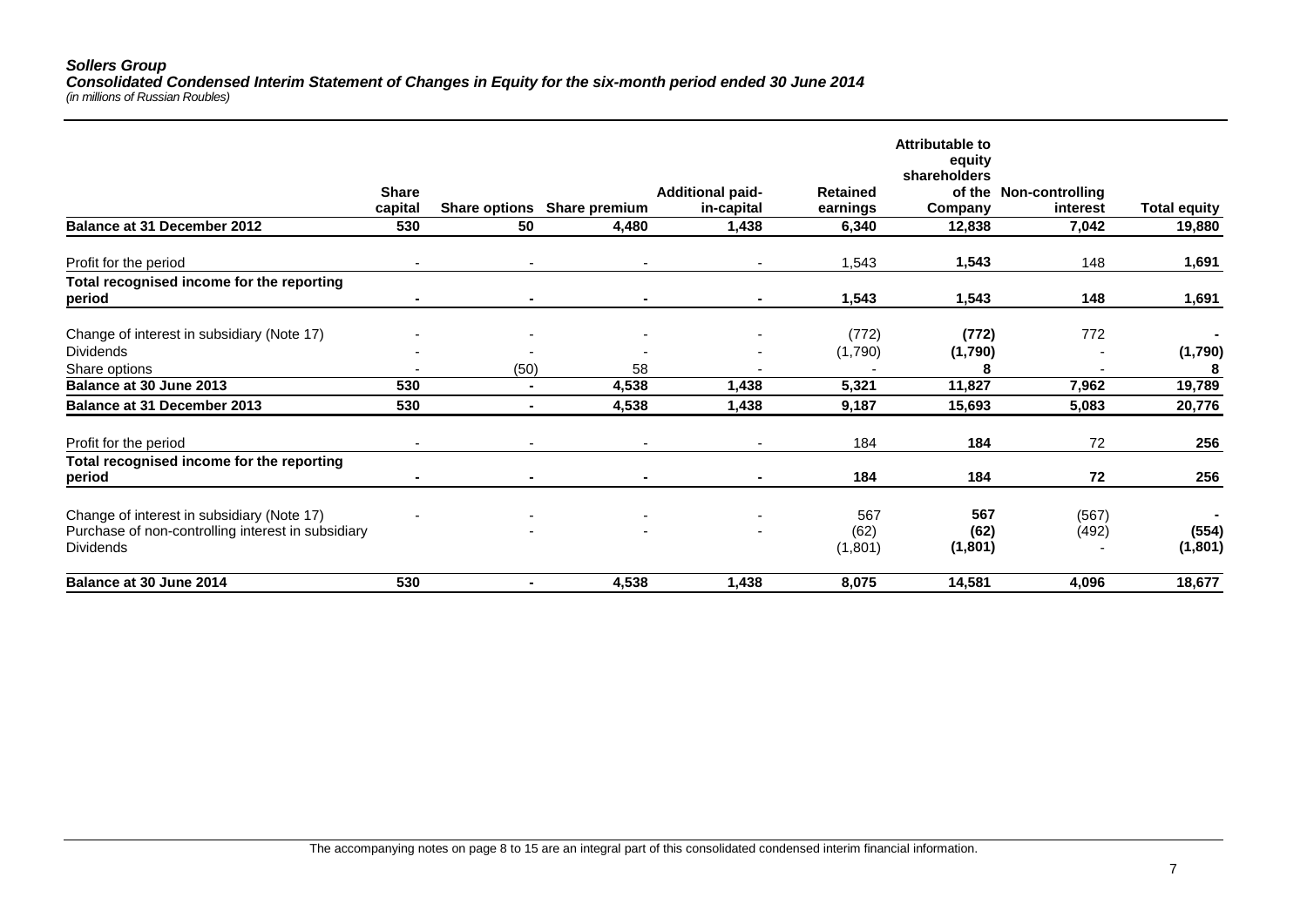#### *Sollers Group Consolidated Condensed Interim Statement of Changes in Equity for the six-month period ended 30 June 2014 (in millions of Russian Roubles)*

|                                                                                                                      | <b>Share</b><br>capital |                | Share options Share premium | <b>Additional paid-</b><br>in-capital | <b>Retained</b><br>earnings | <b>Attributable to</b><br>equity<br>shareholders<br>Company | of the Non-controlling<br>interest | <b>Total equity</b> |
|----------------------------------------------------------------------------------------------------------------------|-------------------------|----------------|-----------------------------|---------------------------------------|-----------------------------|-------------------------------------------------------------|------------------------------------|---------------------|
| <b>Balance at 31 December 2012</b>                                                                                   | 530                     | 50             | 4,480                       | 1,438                                 | 6,340                       | 12,838                                                      | 7,042                              | 19,880              |
| Profit for the period                                                                                                | $\blacksquare$          |                | $\overline{\phantom{a}}$    | ٠                                     | 1,543                       | 1,543                                                       | 148                                | 1,691               |
| Total recognised income for the reporting<br>period                                                                  |                         |                |                             |                                       | 1,543                       | 1,543                                                       | 148                                | 1,691               |
| Change of interest in subsidiary (Note 17)                                                                           |                         |                |                             |                                       | (772)                       | (772)                                                       | 772                                |                     |
| <b>Dividends</b>                                                                                                     |                         |                |                             |                                       | (1,790)                     | (1,790)                                                     |                                    | (1,790)             |
| Share options                                                                                                        |                         | (50)           | 58                          |                                       |                             |                                                             |                                    | 8                   |
| Balance at 30 June 2013                                                                                              | 530                     | $\blacksquare$ | 4,538                       | 1,438                                 | 5,321                       | 11,827                                                      | 7,962                              | 19,789              |
| Balance at 31 December 2013                                                                                          | 530                     |                | 4,538                       | 1,438                                 | 9,187                       | 15,693                                                      | 5,083                              | 20,776              |
| Profit for the period                                                                                                |                         |                |                             |                                       | 184                         | 184                                                         | 72                                 | 256                 |
| Total recognised income for the reporting<br>period                                                                  |                         |                |                             |                                       | 184                         | 184                                                         | 72                                 | 256                 |
| Change of interest in subsidiary (Note 17)<br>Purchase of non-controlling interest in subsidiary<br><b>Dividends</b> |                         |                |                             |                                       | 567<br>(62)<br>(1,801)      | 567<br>(62)<br>(1,801)                                      | (567)<br>(492)                     | (554)<br>(1,801)    |
| Balance at 30 June 2014                                                                                              | 530                     | -              | 4,538                       | 1,438                                 | 8,075                       | 14,581                                                      | 4,096                              | 18,677              |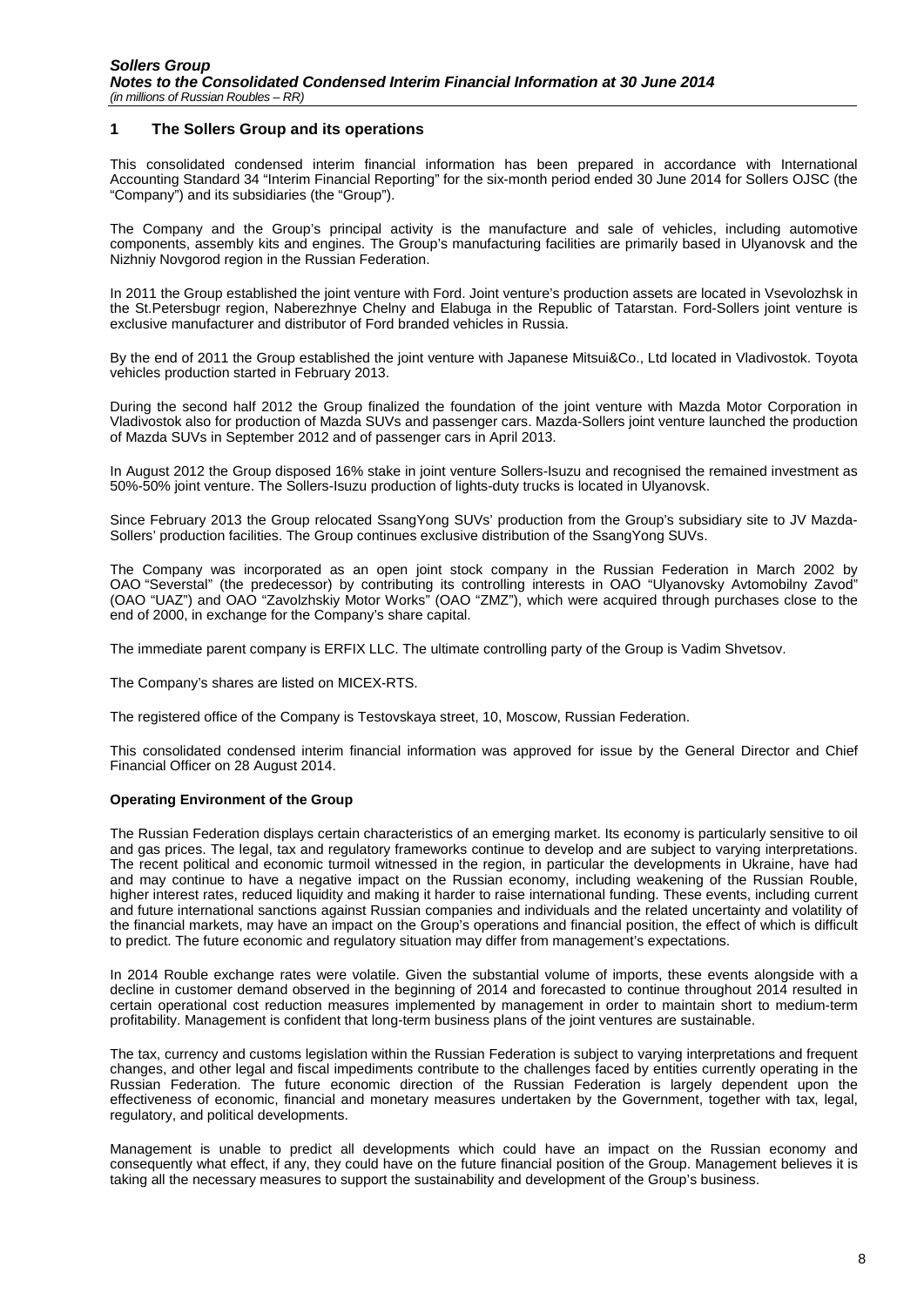#### <span id="page-7-0"></span>**1 The Sollers Group and its operations**

This consolidated condensed interim financial information has been prepared in accordance with International Accounting Standard 34 "Interim Financial Reporting" for the six-month period ended 30 June 2014 for Sollers OJSC (the "Company") and its subsidiaries (the "Group").

The Company and the Group's principal activity is the manufacture and sale of vehicles, including automotive components, assembly kits and engines. The Group's manufacturing facilities are primarily based in Ulyanovsk and the Nizhniy Novgorod region in the Russian Federation.

In 2011 the Group established the joint venture with Ford. Joint venture's production assets are located in Vsevolozhsk in the St.Petersbugr region, Naberezhnye Chelny and Elabuga in the Republic of Tatarstan. Ford-Sollers joint venture is exclusive manufacturer and distributor of Ford branded vehicles in Russia.

By the end of 2011 the Group established the joint venture with Japanese Mitsui&Co., Ltd located in Vladivostok. Toyota vehicles production started in February 2013.

During the second half 2012 the Group finalized the foundation of the joint venture with Mazda Motor Corporation in Vladivostok also for production of Mazda SUVs and passenger cars. Mazda-Sollers joint venture launched the production of Mazda SUVs in September 2012 and of passenger cars in April 2013.

In August 2012 the Group disposed 16% stake in joint venture Sollers-Isuzu and recognised the remained investment as 50%-50% joint venture. The Sollers-Isuzu production of lights-duty trucks is located in Ulyanovsk.

Since February 2013 the Group relocated SsangYong SUVs' production from the Group's subsidiary site to JV Mazda-Sollers' production facilities. The Group continues exclusive distribution of the SsangYong SUVs.

The Company was incorporated as an open joint stock company in the Russian Federation in March 2002 by OAO "Severstal" (the predecessor) by contributing its controlling interests in OAO "Ulyanovsky Avtomobilny Zavod" (OAO "UAZ") and OAO "Zavolzhskiy Motor Works" (OAO "ZMZ"), which were acquired through purchases close to the end of 2000, in exchange for the Company's share capital.

The immediate parent company is ERFIX LLC. The ultimate controlling party of the Group is Vadim Shvetsov.

The Company's shares are listed on MICEX-RTS.

The registered office of the Company is Testovskaya street, 10, Moscow, Russian Federation.

This consolidated condensed interim financial information was approved for issue by the General Director and Chief Financial Officer on 28 August 2014.

#### **Operating Environment of the Group**

The Russian Federation displays certain characteristics of an emerging market. Its economy is particularly sensitive to oil and gas prices. The legal, tax and regulatory frameworks continue to develop and are subject to varying interpretations. The recent political and economic turmoil witnessed in the region, in particular the developments in Ukraine, have had and may continue to have a negative impact on the Russian economy, including weakening of the Russian Rouble, higher interest rates, reduced liquidity and making it harder to raise international funding. These events, including current and future international sanctions against Russian companies and individuals and the related uncertainty and volatility of the financial markets, may have an impact on the Group's operations and financial position, the effect of which is difficult to predict. The future economic and regulatory situation may differ from management's expectations.

In 2014 Rouble exchange rates were volatile. Given the substantial volume of imports, these events alongside with a decline in customer demand observed in the beginning of 2014 and forecasted to continue throughout 2014 resulted in certain operational cost reduction measures implemented by management in order to maintain short to medium-term profitability. Management is confident that long-term business plans of the joint ventures are sustainable.

The tax, currency and customs legislation within the Russian Federation is subject to varying interpretations and frequent changes, and other legal and fiscal impediments contribute to the challenges faced by entities currently operating in the Russian Federation. The future economic direction of the Russian Federation is largely dependent upon the effectiveness of economic, financial and monetary measures undertaken by the Government, together with tax, legal, regulatory, and political developments.

Management is unable to predict all developments which could have an impact on the Russian economy and consequently what effect, if any, they could have on the future financial position of the Group. Management believes it is taking all the necessary measures to support the sustainability and development of the Group's business.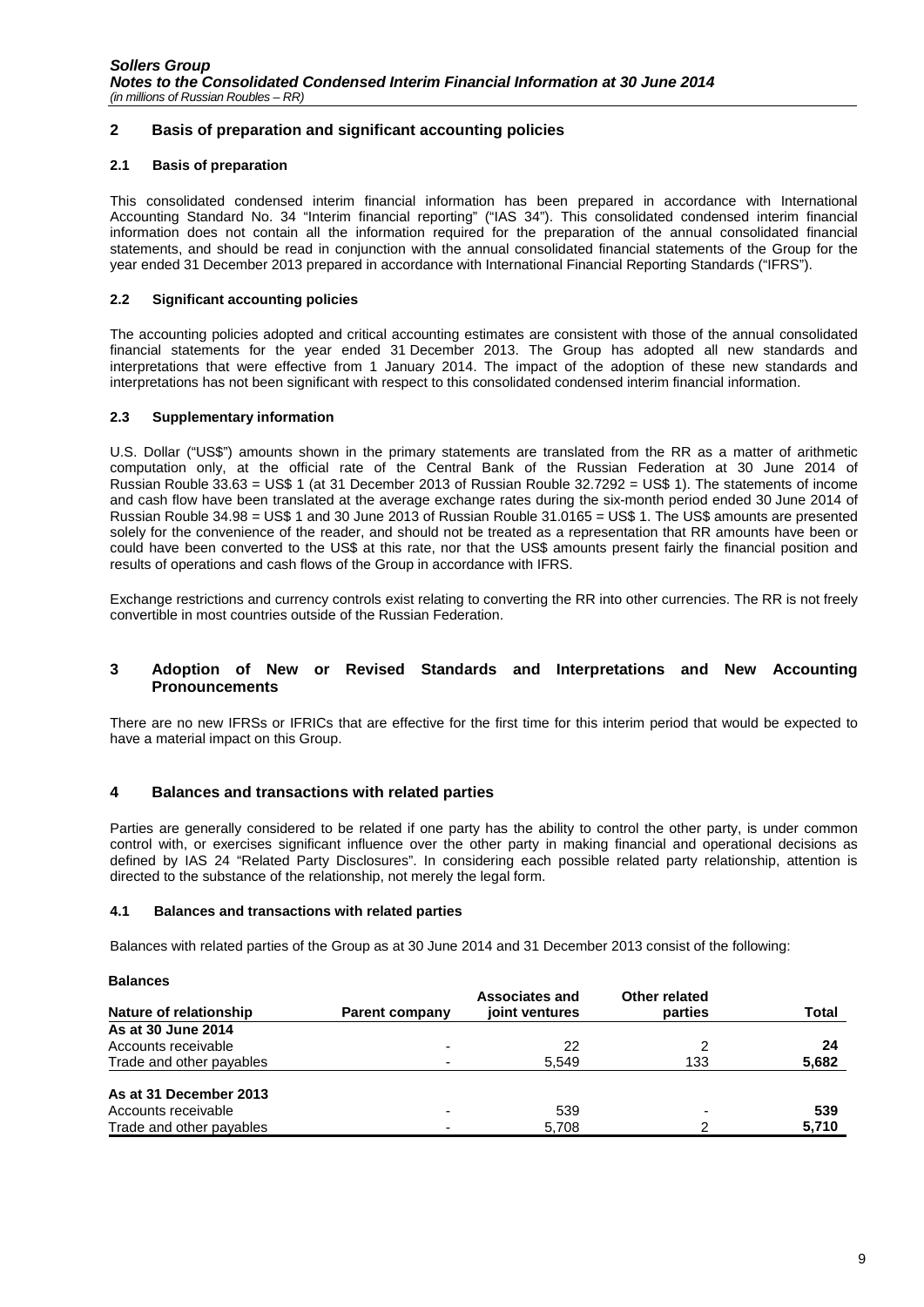# <span id="page-8-0"></span>**2 Basis of preparation and significant accounting policies**

### **2.1 Basis of preparation**

This consolidated condensed interim financial information has been prepared in accordance with International Accounting Standard No. 34 "Interim financial reporting" ("IAS 34"). This consolidated condensed interim financial information does not contain all the information required for the preparation of the annual consolidated financial statements, and should be read in conjunction with the annual consolidated financial statements of the Group for the year ended 31 December 2013 prepared in accordance with International Financial Reporting Standards ("IFRS").

#### **2.2 Significant accounting policies**

The accounting policies adopted and critical accounting estimates are consistent with those of the annual consolidated financial statements for the year ended 31 December 2013. The Group has adopted all new standards and interpretations that were effective from 1 January 2014. The impact of the adoption of these new standards and interpretations has not been significant with respect to this consolidated condensed interim financial information.

#### **2.3 Supplementary information**

U.S. Dollar ("US\$") amounts shown in the primary statements are translated from the RR as a matter of arithmetic computation only, at the official rate of the Central Bank of the Russian Federation at 30 June 2014 of Russian Rouble 33.63 = US\$ 1 (at 31 December 2013 of Russian Rouble 32.7292 = US\$ 1). The statements of income and cash flow have been translated at the average exchange rates during the six-month period ended 30 June 2014 of Russian Rouble 34.98 = US\$ 1 and 30 June 2013 of Russian Rouble 31.0165 = US\$ 1. The US\$ amounts are presented solely for the convenience of the reader, and should not be treated as a representation that RR amounts have been or could have been converted to the US\$ at this rate, nor that the US\$ amounts present fairly the financial position and results of operations and cash flows of the Group in accordance with IFRS.

Exchange restrictions and currency controls exist relating to converting the RR into other currencies. The RR is not freely convertible in most countries outside of the Russian Federation.

#### <span id="page-8-1"></span>**3 Adoption of New or Revised Standards and Interpretations and New Accounting Pronouncements**

There are no new IFRSs or IFRICs that are effective for the first time for this interim period that would be expected to have a material impact on this Group.

# <span id="page-8-2"></span>**4 Balances and transactions with related parties**

Parties are generally considered to be related if one party has the ability to control the other party, is under common control with, or exercises significant influence over the other party in making financial and operational decisions as defined by IAS 24 "Related Party Disclosures". In considering each possible related party relationship, attention is directed to the substance of the relationship, not merely the legal form.

#### **4.1 Balances and transactions with related parties**

Balances with related parties of the Group as at 30 June 2014 and 31 December 2013 consist of the following:

| <b>Balances</b>          |                          |                                         |                          |       |
|--------------------------|--------------------------|-----------------------------------------|--------------------------|-------|
| Nature of relationship   | <b>Parent company</b>    | <b>Associates and</b><br>joint ventures | Other related<br>parties | Total |
| As at 30 June 2014       |                          |                                         |                          |       |
| Accounts receivable      | -                        | 22                                      |                          | 24    |
| Trade and other payables | ٠                        | 5,549                                   | 133                      | 5,682 |
| As at 31 December 2013   |                          |                                         |                          |       |
| Accounts receivable      | $\overline{\phantom{0}}$ | 539                                     | $\overline{\phantom{0}}$ | 539   |
| Trade and other payables |                          | 5,708                                   |                          | 5,710 |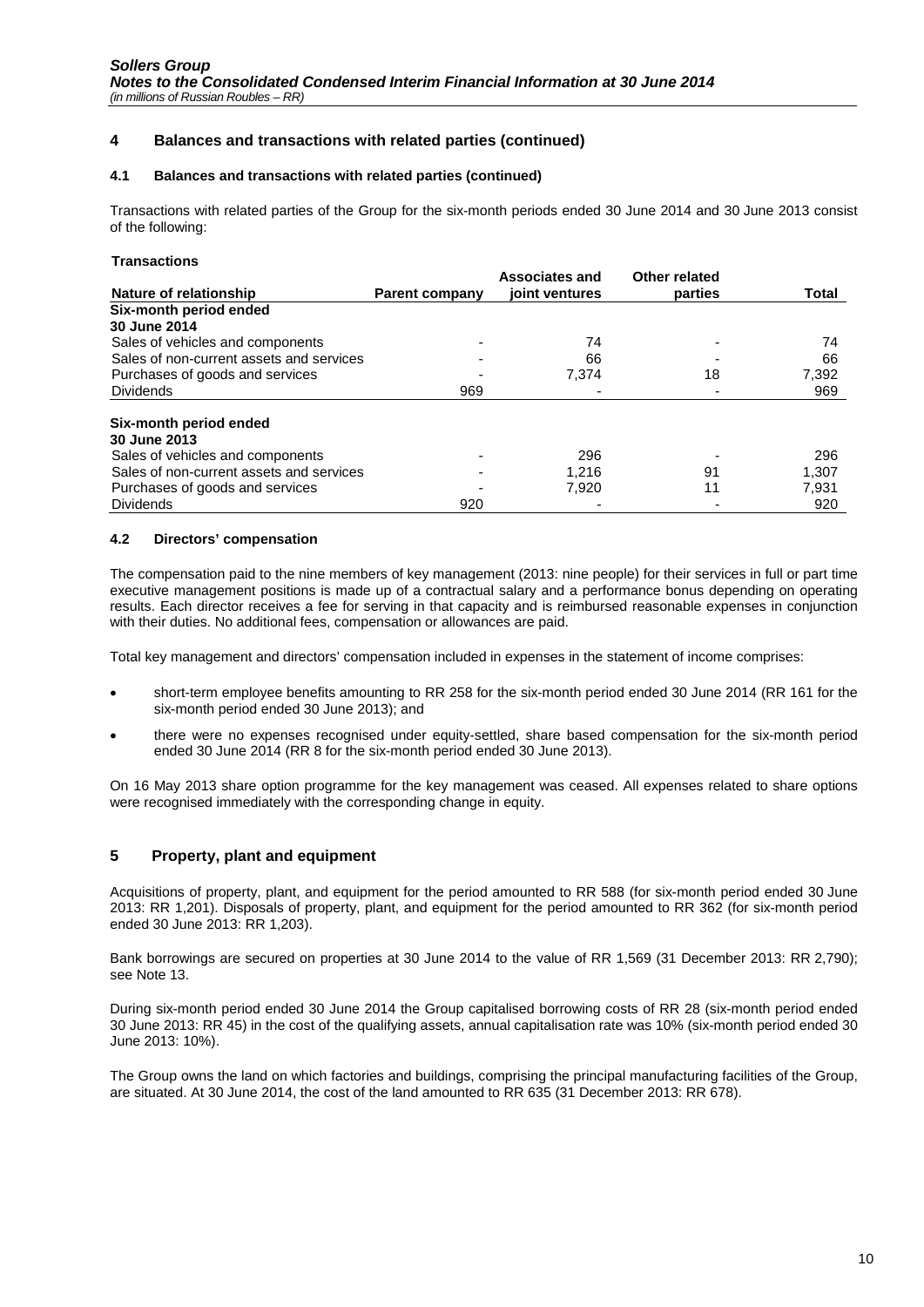# **4 Balances and transactions with related parties (continued)**

#### **4.1 Balances and transactions with related parties (continued)**

Transactions with related parties of the Group for the six-month periods ended 30 June 2014 and 30 June 2013 consist of the following:

#### **Transactions**

|                                          |                       | <b>Associates and</b> | Other related |       |
|------------------------------------------|-----------------------|-----------------------|---------------|-------|
| Nature of relationship                   | <b>Parent company</b> | joint ventures        | parties       | Total |
| Six-month period ended                   |                       |                       |               |       |
| 30 June 2014                             |                       |                       |               |       |
| Sales of vehicles and components         |                       | 74                    |               | 74    |
| Sales of non-current assets and services |                       | 66                    |               | 66    |
| Purchases of goods and services          |                       | 7.374                 | 18            | 7,392 |
| <b>Dividends</b>                         | 969                   |                       |               | 969   |
| Six-month period ended                   |                       |                       |               |       |
| 30 June 2013                             |                       |                       |               |       |
| Sales of vehicles and components         |                       | 296                   |               | 296   |
| Sales of non-current assets and services |                       | 1.216                 | 91            | 1.307 |
| Purchases of goods and services          |                       | 7,920                 | 11            | 7,931 |
| <b>Dividends</b>                         | 920                   |                       |               | 920   |

#### **4.2 Directors' compensation**

The compensation paid to the nine members of key management (2013: nine people) for their services in full or part time executive management positions is made up of a contractual salary and a performance bonus depending on operating results. Each director receives a fee for serving in that capacity and is reimbursed reasonable expenses in conjunction with their duties. No additional fees, compensation or allowances are paid.

Total key management and directors' compensation included in expenses in the statement of income comprises:

- short-term employee benefits amounting to RR 258 for the six-month period ended 30 June 2014 (RR 161 for the six-month period ended 30 June 2013); and
- there were no expenses recognised under equity-settled, share based compensation for the six-month period ended 30 June 2014 (RR 8 for the six-month period ended 30 June 2013).

On 16 May 2013 share option programme for the key management was ceased. All expenses related to share options were recognised immediately with the corresponding change in equity.

#### <span id="page-9-0"></span>**5 Property, plant and equipment**

Acquisitions of property, plant, and equipment for the period amounted to RR 588 (for six-month period ended 30 June 2013: RR 1,201). Disposals of property, plant, and equipment for the period amounted to RR 362 (for six-month period ended 30 June 2013: RR 1,203).

Bank borrowings are secured on properties at 30 June 2014 to the value of RR 1,569 (31 December 2013: RR 2,790); see Note 13.

During six-month period ended 30 June 2014 the Group capitalised borrowing costs of RR 28 (six-month period ended 30 June 2013: RR 45) in the cost of the qualifying assets, annual capitalisation rate was 10% (six-month period ended 30 June 2013: 10%).

The Group owns the land on which factories and buildings, comprising the principal manufacturing facilities of the Group, are situated. At 30 June 2014, the cost of the land amounted to RR 635 (31 December 2013: RR 678).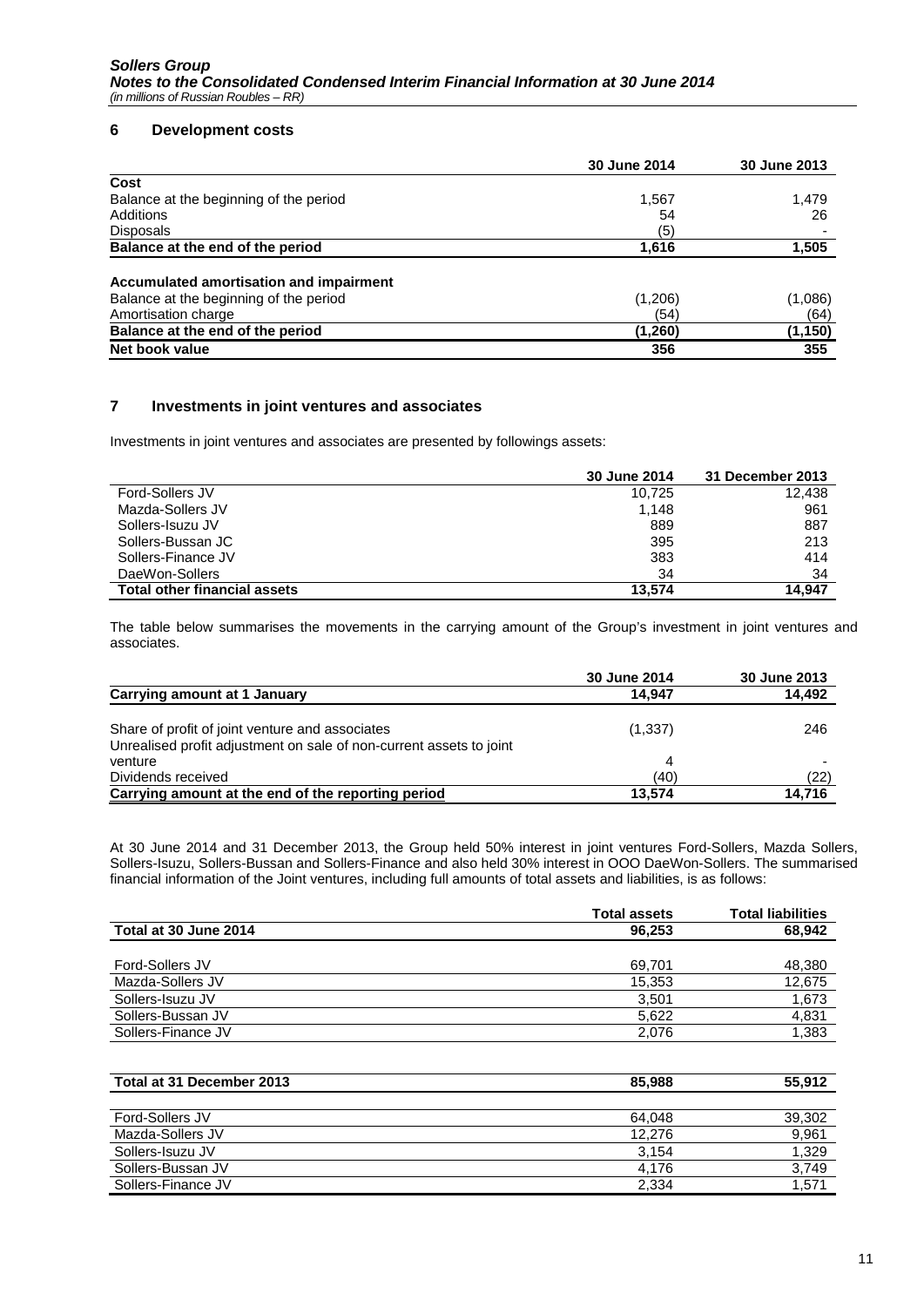### <span id="page-10-0"></span>**6 Development costs**

|                                         | 30 June 2014 | 30 June 2013 |
|-----------------------------------------|--------------|--------------|
| Cost                                    |              |              |
| Balance at the beginning of the period  | 1,567        | 1,479        |
| Additions                               | 54           | 26           |
| <b>Disposals</b>                        | (5)          |              |
| Balance at the end of the period        | 1,616        | 1,505        |
| Accumulated amortisation and impairment |              |              |
| Balance at the beginning of the period  | (1,206)      | (1,086)      |
| Amortisation charge                     | (54)         | (64)         |
| Balance at the end of the period        | (1,260)      | (1, 150)     |
| Net book value                          | 356          | 355          |

# <span id="page-10-1"></span>**7 Investments in joint ventures and associates**

Investments in joint ventures and associates are presented by followings assets:

|                                     | 30 June 2014 | 31 December 2013 |
|-------------------------------------|--------------|------------------|
| Ford-Sollers JV                     | 10.725       | 12.438           |
| Mazda-Sollers JV                    | 1.148        | 961              |
| Sollers-Isuzu JV                    | 889          | 887              |
| Sollers-Bussan JC                   | 395          | 213              |
| Sollers-Finance JV                  | 383          | 414              |
| DaeWon-Sollers                      | 34           | 34               |
| <b>Total other financial assets</b> | 13.574       | 14.947           |

The table below summarises the movements in the carrying amount of the Group's investment in joint ventures and associates.

|                                                                     | 30 June 2014 | 30 June 2013 |
|---------------------------------------------------------------------|--------------|--------------|
| Carrying amount at 1 January                                        | 14.947       | 14,492       |
| Share of profit of joint venture and associates                     | (1,337)      | 246          |
| Unrealised profit adjustment on sale of non-current assets to joint |              |              |
| venture                                                             | 4            |              |
| Dividends received                                                  | (40)         | (22)         |
| Carrying amount at the end of the reporting period                  | 13.574       | 14.716       |

At 30 June 2014 and 31 December 2013, the Group held 50% interest in joint ventures Ford-Sollers, Mazda Sollers, Sollers-Isuzu, Sollers-Bussan and Sollers-Finance and also held 30% interest in OOO DaeWon-Sollers. The summarised financial information of the Joint ventures, including full amounts of total assets and liabilities, is as follows:

|                        | <b>Total assets</b> | <b>Total liabilities</b> |
|------------------------|---------------------|--------------------------|
| Total at 30 June 2014  | 96.253              | 68,942                   |
|                        |                     |                          |
| <b>Ford-Sollers JV</b> | 69,701              | 48,380                   |
| Mazda-Sollers JV       | 15,353              | 12,675                   |
| Sollers-Isuzu JV       | 3.501               | 1,673                    |
| Sollers-Bussan JV      | 5.622               | 4,831                    |
| Sollers-Finance JV     | 2,076               | 1,383                    |
|                        |                     |                          |

| Total at 31 December 2013 | 85,988 | 55,912 |
|---------------------------|--------|--------|
|                           |        |        |
| Ford-Sollers JV           | 64.048 | 39,302 |
| Mazda-Sollers JV          | 12.276 | 9,961  |
| Sollers-Isuzu JV          | 3.154  | 1,329  |
| Sollers-Bussan JV         | 4.176  | 3.749  |
| Sollers-Finance JV        | 2.334  | 1,57'  |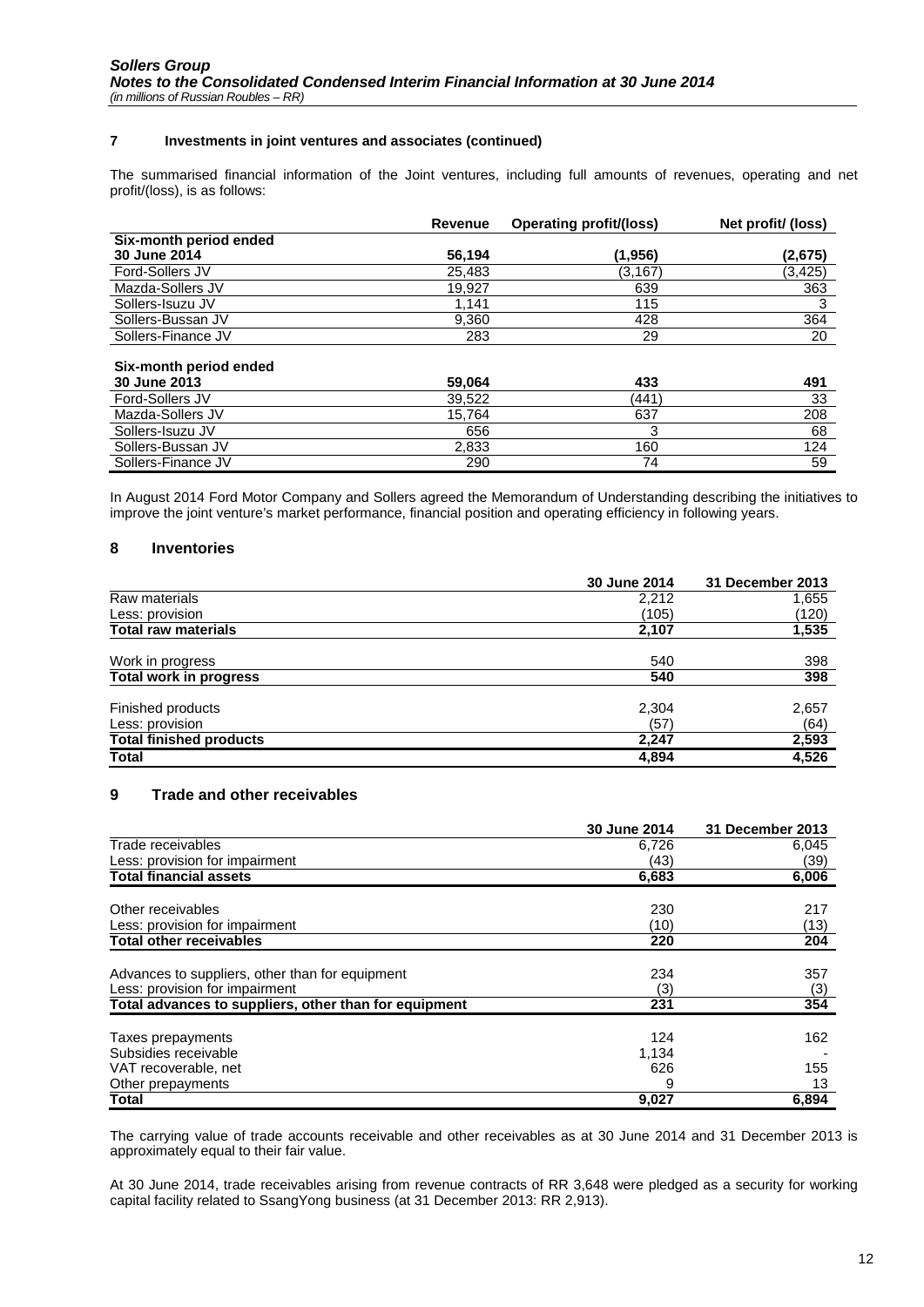#### **7 Investments in joint ventures and associates (continued)**

The summarised financial information of the Joint ventures, including full amounts of revenues, operating and net profit/(loss), is as follows:

|                                        | <b>Revenue</b> | <b>Operating profit/(loss)</b> | Net profit/ (loss) |
|----------------------------------------|----------------|--------------------------------|--------------------|
| Six-month period ended                 |                |                                |                    |
| 30 June 2014                           | 56.194         | (1.956)                        | (2.675)            |
| Ford-Sollers JV                        | 25.483         | (3.167)                        | (3, 425)           |
| Mazda-Sollers JV                       | 19,927         | 639                            | 363                |
| Sollers-Isuzu JV                       | 1.141          | 115                            | 3                  |
| Sollers-Bussan JV                      | 9.360          | 428                            | 364                |
| Sollers-Finance JV                     | 283            | 29                             | 20                 |
| Six-month period ended<br>30 June 2013 | 59,064         | 433                            | 491                |
| Ford-Sollers JV                        | 39.522         | (441)                          | 33                 |
| Mazda-Sollers JV                       | 15.764         | 637                            | 208                |
| Sollers-Isuzu JV                       | 656            | 3                              | 68                 |
| Sollers-Bussan JV                      | 2,833          | 160                            | 124                |
| Sollers-Finance JV                     | 290            | 74                             | 59                 |

In August 2014 Ford Motor Company and Sollers agreed the Memorandum of Understanding describing the initiatives to improve the joint venture's market performance, financial position and operating efficiency in following years.

#### <span id="page-11-0"></span>**8 Inventories**

|                                | 30 June 2014 | 31 December 2013 |
|--------------------------------|--------------|------------------|
| Raw materials                  | 2,212        | 1,655            |
| Less: provision                | (105)        | (120)            |
| <b>Total raw materials</b>     | 2,107        | 1,535            |
| Work in progress               | 540          | 398              |
| <b>Total work in progress</b>  | 540          | 398              |
| Finished products              | 2,304        | 2,657            |
| Less: provision                | (57)         | (64)             |
| <b>Total finished products</b> | 2,247        | 2,593            |
| Total                          | 4,894        | 4,526            |

#### <span id="page-11-1"></span>**9 Trade and other receivables**

|                                                       | 30 June 2014 | 31 December 2013 |
|-------------------------------------------------------|--------------|------------------|
| Trade receivables                                     | 6,726        | 6,045            |
| Less: provision for impairment                        | (43)         | (39)             |
| <b>Total financial assets</b>                         | 6,683        | 6,006            |
| Other receivables                                     |              |                  |
|                                                       | 230          | 217              |
| Less: provision for impairment                        | (10)         | (13)             |
| <b>Total other receivables</b>                        | 220          | 204              |
| Advances to suppliers, other than for equipment       | 234          | 357              |
| Less: provision for impairment                        | (3)          | (3)              |
| Total advances to suppliers, other than for equipment | 231          | 354              |
| Taxes prepayments                                     | 124          | 162              |
| Subsidies receivable                                  | 1,134        |                  |
| VAT recoverable, net                                  | 626          | 155              |
| Other prepayments                                     | 9            | 13               |
| Total                                                 | 9,027        | 6,894            |

The carrying value of trade accounts receivable and other receivables as at 30 June 2014 and 31 December 2013 is approximately equal to their fair value.

At 30 June 2014, trade receivables arising from revenue contracts of RR 3,648 were pledged as a security for working capital facility related to SsangYong business (at 31 December 2013: RR 2,913).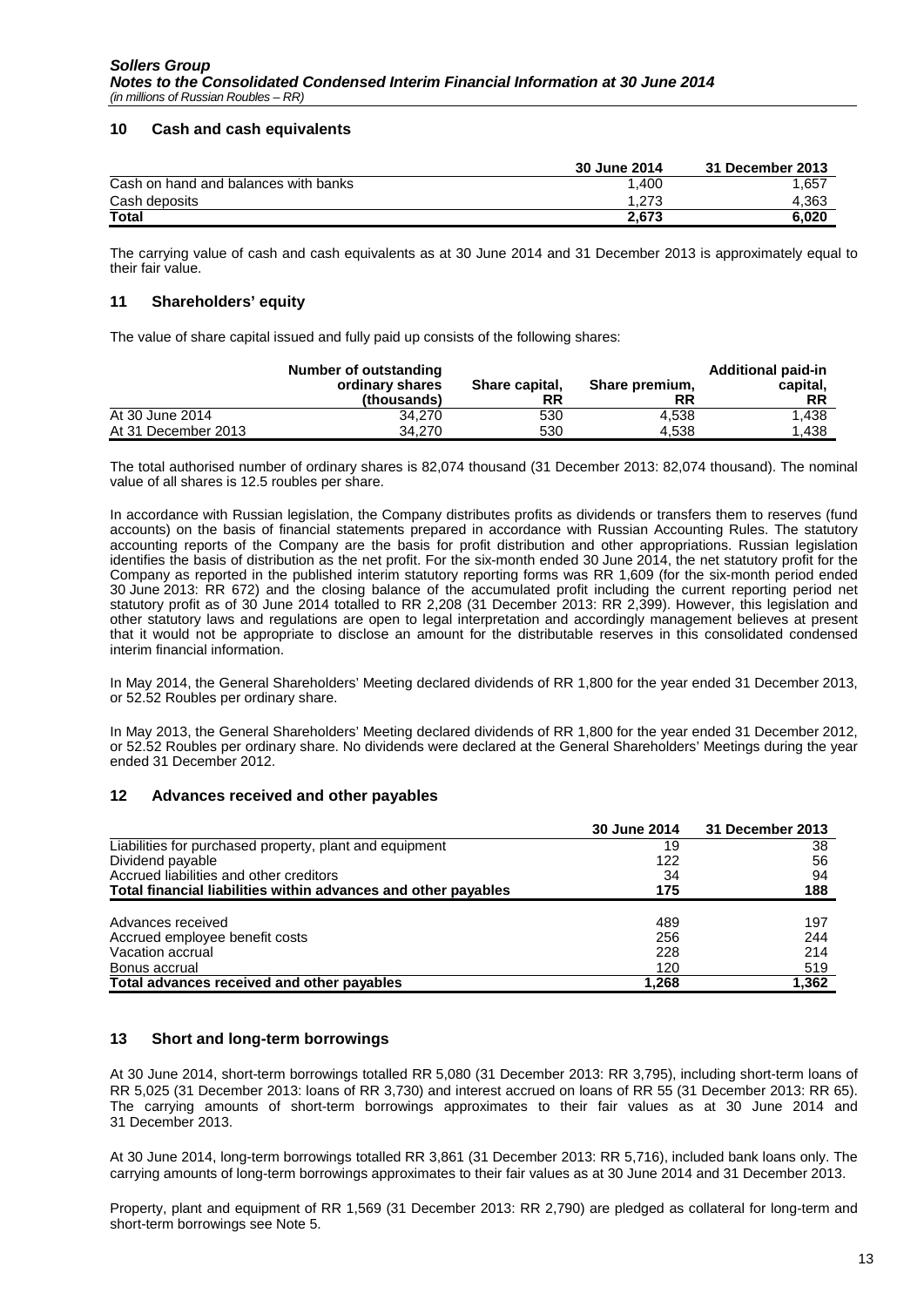#### <span id="page-12-0"></span>**10 Cash and cash equivalents**

|                                      | 30 June 2014 | 31 December 2013 |
|--------------------------------------|--------------|------------------|
| Cash on hand and balances with banks | .400         | 1.657            |
| Cash deposits                        | .273         | 4.363            |
| <b>Total</b>                         | 2.673        | 6.020            |

The carrying value of cash and cash equivalents as at 30 June 2014 and 31 December 2013 is approximately equal to their fair value.

### <span id="page-12-1"></span>**11 Shareholders' equity**

The value of share capital issued and fully paid up consists of the following shares:

|                     | Number of outstanding<br>ordinary shares<br>(thousands) | Share capital,<br>RR | Share premium,<br>RR | <b>Additional paid-in</b><br>capital,<br><b>RR</b> |
|---------------------|---------------------------------------------------------|----------------------|----------------------|----------------------------------------------------|
| At 30 June 2014     | 34.270                                                  | 530                  | 4.538                | 1.438                                              |
| At 31 December 2013 | 34.270                                                  | 530                  | 4.538                | 1.438                                              |

The total authorised number of ordinary shares is 82,074 thousand (31 December 2013: 82,074 thousand). The nominal value of all shares is 12.5 roubles per share.

In accordance with Russian legislation, the Company distributes profits as dividends or transfers them to reserves (fund accounts) on the basis of financial statements prepared in accordance with Russian Accounting Rules. The statutory accounting reports of the Company are the basis for profit distribution and other appropriations. Russian legislation identifies the basis of distribution as the net profit. For the six-month ended 30 June 2014, the net statutory profit for the Company as reported in the published interim statutory reporting forms was RR 1,609 (for the six-month period ended 30 June 2013: RR 672) and the closing balance of the accumulated profit including the current reporting period net statutory profit as of 30 June 2014 totalled to RR 2,208 (31 December 2013: RR 2,399). However, this legislation and other statutory laws and regulations are open to legal interpretation and accordingly management believes at present that it would not be appropriate to disclose an amount for the distributable reserves in this consolidated condensed interim financial information.

In May 2014, the General Shareholders' Meeting declared dividends of RR 1,800 for the year ended 31 December 2013, or 52.52 Roubles per ordinary share.

In May 2013, the General Shareholders' Meeting declared dividends of RR 1,800 for the year ended 31 December 2012, or 52.52 Roubles per ordinary share. No dividends were declared at the General Shareholders' Meetings during the year ended 31 December 2012.

#### <span id="page-12-2"></span>**12 Advances received and other payables**

|                                                                | 30 June 2014 | 31 December 2013 |
|----------------------------------------------------------------|--------------|------------------|
| Liabilities for purchased property, plant and equipment        | 19           | 38               |
| Dividend payable                                               | 122          | 56               |
| Accrued liabilities and other creditors                        | 34           | 94               |
| Total financial liabilities within advances and other payables | 175          | 188              |
|                                                                |              |                  |
| Advances received                                              | 489          | 197              |
| Accrued employee benefit costs                                 | 256          | 244              |
| Vacation accrual                                               | 228          | 214              |
| Bonus accrual                                                  | 120          | 519              |
| Total advances received and other payables                     | 1,268        | 1,362            |

#### <span id="page-12-3"></span>**13 Short and long-term borrowings**

At 30 June 2014, short-term borrowings totalled RR 5,080 (31 December 2013: RR 3,795), including short-term loans of RR 5,025 (31 December 2013: loans of RR 3,730) and interest accrued on loans of RR 55 (31 December 2013: RR 65). The carrying amounts of short-term borrowings approximates to their fair values as at 30 June 2014 and 31 December 2013.

At 30 June 2014, long-term borrowings totalled RR 3,861 (31 December 2013: RR 5,716), included bank loans only. The carrying amounts of long-term borrowings approximates to their fair values as at 30 June 2014 and 31 December 2013.

Property, plant and equipment of RR 1,569 (31 December 2013: RR 2,790) are pledged as collateral for long-term and short-term borrowings see Note 5.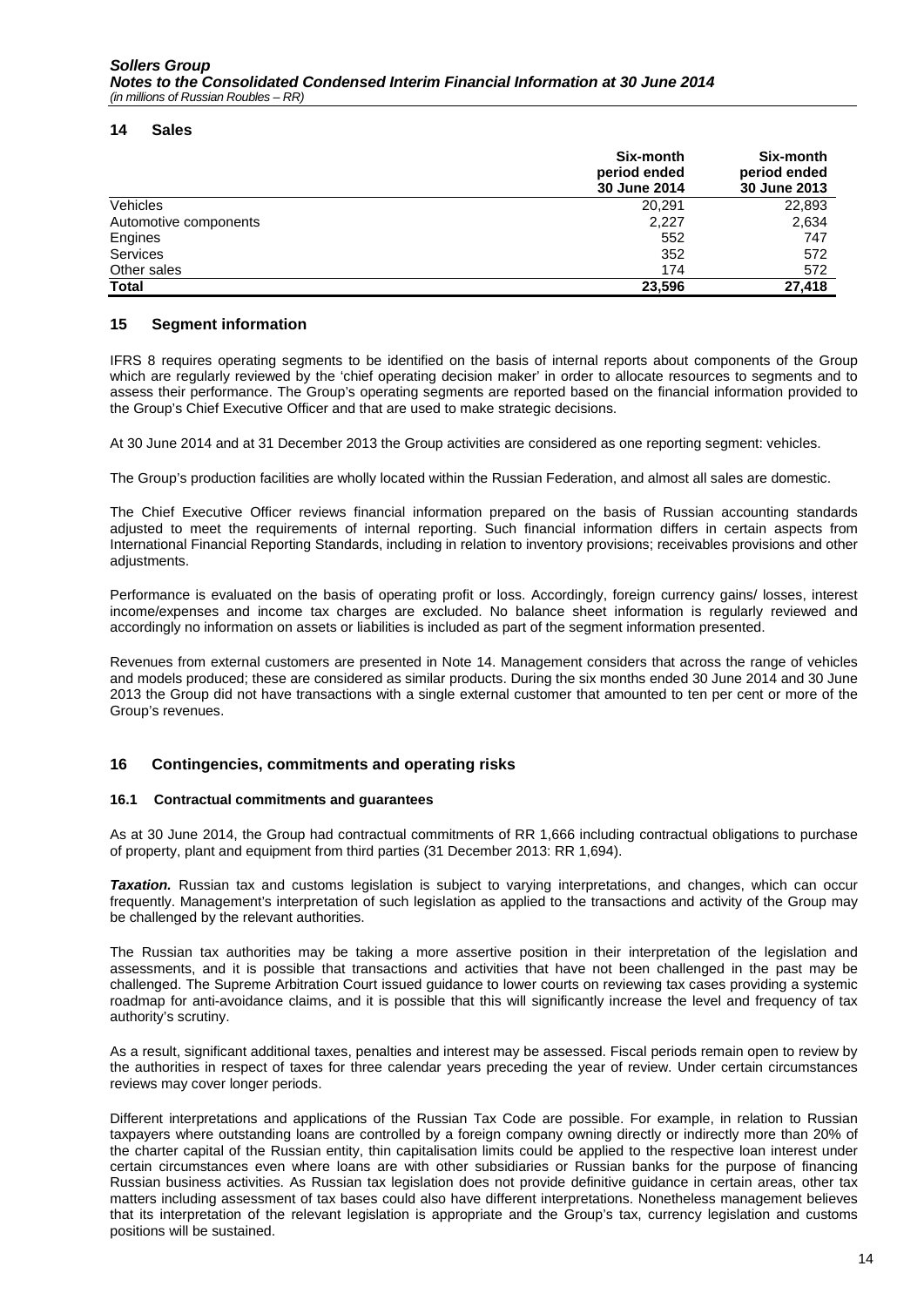#### <span id="page-13-0"></span>**14 Sales**

|                       | Six-month<br>period ended<br>30 June 2014 | Six-month<br>period ended<br>30 June 2013 |
|-----------------------|-------------------------------------------|-------------------------------------------|
| <b>Vehicles</b>       | 20,291                                    | 22,893                                    |
| Automotive components | 2,227                                     | 2,634                                     |
| Engines               | 552                                       | 747                                       |
| Services              | 352                                       | 572                                       |
| Other sales           | 174                                       | 572                                       |
| <b>Total</b>          | 23.596                                    | 27,418                                    |

#### <span id="page-13-1"></span>**15 Segment information**

IFRS 8 requires operating segments to be identified on the basis of internal reports about components of the Group which are regularly reviewed by the 'chief operating decision maker' in order to allocate resources to segments and to assess their performance. The Group's operating segments are reported based on the financial information provided to the Group's Chief Executive Officer and that are used to make strategic decisions.

At 30 June 2014 and at 31 December 2013 the Group activities are considered as one reporting segment: vehicles.

The Group's production facilities are wholly located within the Russian Federation, and almost all sales are domestic.

The Chief Executive Officer reviews financial information prepared on the basis of Russian accounting standards adjusted to meet the requirements of internal reporting. Such financial information differs in certain aspects from International Financial Reporting Standards, including in relation to inventory provisions; receivables provisions and other adjustments.

Performance is evaluated on the basis of operating profit or loss. Accordingly, foreign currency gains/ losses, interest income/expenses and income tax charges are excluded. No balance sheet information is regularly reviewed and accordingly no information on assets or liabilities is included as part of the segment information presented.

Revenues from external customers are presented in Note 14. Management considers that across the range of vehicles and models produced; these are considered as similar products. During the six months ended 30 June 2014 and 30 June 2013 the Group did not have transactions with a single external customer that amounted to ten per cent or more of the Group's revenues.

#### <span id="page-13-2"></span>**16 Contingencies, commitments and operating risks**

#### **16.1 Contractual commitments and guarantees**

As at 30 June 2014, the Group had contractual commitments of RR 1,666 including contractual obligations to purchase of property, plant and equipment from third parties (31 December 2013: RR 1,694).

*Taxation.* Russian tax and customs legislation is subject to varying interpretations, and changes, which can occur frequently. Management's interpretation of such legislation as applied to the transactions and activity of the Group may be challenged by the relevant authorities.

The Russian tax authorities may be taking a more assertive position in their interpretation of the legislation and assessments, and it is possible that transactions and activities that have not been challenged in the past may be challenged. The Supreme Arbitration Court issued guidance to lower courts on reviewing tax cases providing a systemic roadmap for anti-avoidance claims, and it is possible that this will significantly increase the level and frequency of tax authority's scrutiny.

As a result, significant additional taxes, penalties and interest may be assessed. Fiscal periods remain open to review by the authorities in respect of taxes for three calendar years preceding the year of review. Under certain circumstances reviews may cover longer periods.

Different interpretations and applications of the Russian Tax Code are possible. For example, in relation to Russian taxpayers where outstanding loans are controlled by a foreign company owning directly or indirectly more than 20% of the charter capital of the Russian entity, thin capitalisation limits could be applied to the respective loan interest under certain circumstances even where loans are with other subsidiaries or Russian banks for the purpose of financing Russian business activities. As Russian tax legislation does not provide definitive guidance in certain areas, other tax matters including assessment of tax bases could also have different interpretations. Nonetheless management believes that its interpretation of the relevant legislation is appropriate and the Group's tax, currency legislation and customs positions will be sustained.